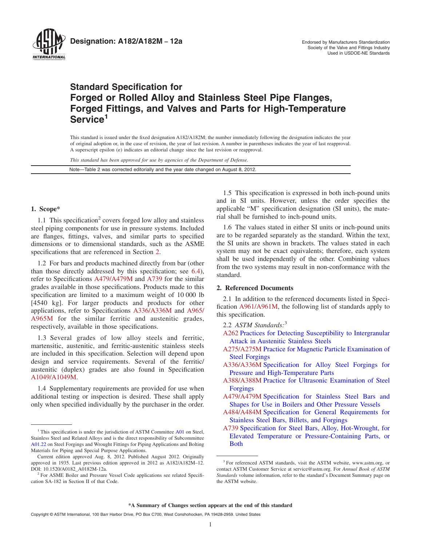<span id="page-0-0"></span>

**Designation: A182/A182M - 12a** And **Consumersity Manufacturers Standardization** 

# **Standard Specification for Forged or Rolled Alloy and Stainless Steel Pipe Flanges, Forged Fittings, and Valves and Parts for High-Temperature Service<sup>1</sup>**

This standard is issued under the fixed designation A182/A182M; the number immediately following the designation indicates the year of original adoption or, in the case of revision, the year of last revision. A number in parentheses indicates the year of last reapproval. A superscript epsilon  $(\varepsilon)$  indicates an editorial change since the last revision or reapproval.

*This standard has been approved for use by agencies of the Department of Defense.*

Note—Table 2 was corrected editorially and the year date changed on August 8, 2012.

# **1. Scope\***

1.1 This specification<sup>2</sup> covers forged low alloy and stainless steel piping components for use in pressure systems. Included are flanges, fittings, valves, and similar parts to specified dimensions or to dimensional standards, such as the ASME specifications that are referenced in Section 2.

1.2 For bars and products machined directly from bar (other than those directly addressed by this specification; see [6.4\)](#page-1-0), refer to Specifications [A479/A479M](#page-4-0) and A739 for the similar grades available in those specifications. Products made to this specification are limited to a maximum weight of 10 000 lb [4540 kg]. For larger products and products for other applications, refer to Specifications A336/A336M and [A965/](#page-1-0) [A965M](#page-1-0) for the similar ferritic and austenitic grades, respectively, available in those specifications.

1.3 Several grades of low alloy steels and ferritic, martensitic, austenitic, and ferritic-austenitic stainless steels are included in this specification. Selection will depend upon design and service requirements. Several of the ferritic/ austenitic (duplex) grades are also found in Specification [A1049/A1049M.](#page-1-0)

1.4 Supplementary requirements are provided for use when additional testing or inspection is desired. These shall apply only when specified individually by the purchaser in the order.

1.5 This specification is expressed in both inch-pound units and in SI units. However, unless the order specifies the applicable "M" specification designation (SI units), the material shall be furnished to inch-pound units.

1.6 The values stated in either SI units or inch-pound units are to be regarded separately as the standard. Within the text, the SI units are shown in brackets. The values stated in each system may not be exact equivalents; therefore, each system shall be used independently of the other. Combining values from the two systems may result in non-conformance with the standard.

# **2. Referenced Documents**

2.1 In addition to the referenced documents listed in Specification [A961/A961M,](#page-1-0) the following list of standards apply to this specification.

- 2.2 *ASTM Standards:*<sup>3</sup>
- [A262](#page-14-0) [Practices for Detecting Susceptibility to Intergranular](http://dx.doi.org/10.1520/A0262) [Attack in Austenitic Stainless Steels](http://dx.doi.org/10.1520/A0262)
- [A275/A275M](#page-9-0) [Practice for Magnetic Particle Examination of](http://dx.doi.org/10.1520/A0275_A0275M) [Steel Forgings](http://dx.doi.org/10.1520/A0275_A0275M)
- A336/A336M [Specification for Alloy Steel Forgings for](http://dx.doi.org/10.1520/A0336_A0336M) [Pressure and High-Temperature Parts](http://dx.doi.org/10.1520/A0336_A0336M)
- [A388/A388M](#page-9-0) [Practice for Ultrasonic Examination of Steel](http://dx.doi.org/10.1520/A0388_A0388M) [Forgings](http://dx.doi.org/10.1520/A0388_A0388M)
- A479/A479M [Specification for Stainless Steel Bars and](http://dx.doi.org/10.1520/A0479_A0479M) [Shapes for Use in Boilers and Other Pressure Vessels](http://dx.doi.org/10.1520/A0479_A0479M)
- [A484/A484M](#page-14-0) [Specification for General Requirements for](http://dx.doi.org/10.1520/A0484_A0484M) [Stainless Steel Bars, Billets, and Forgings](http://dx.doi.org/10.1520/A0484_A0484M)
- A739 [Specification for Steel Bars, Alloy, Hot-Wrought, for](http://dx.doi.org/10.1520/A0739) [Elevated Temperature or Pressure-Containing Parts, or](http://dx.doi.org/10.1520/A0739) [Both](http://dx.doi.org/10.1520/A0739)

 $1$ <sup>1</sup> This specification is under the jurisdiction of ASTM Committee [A01](http://www.astm.org/COMMIT/COMMITTEE/A01.htm) on Steel, Stainless Steel and Related Alloys and is the direct responsibility of Subcommittee [A01.22](http://www.astm.org/COMMIT/SUBCOMMIT/A0122.htm) on Steel Forgings and Wrought Fittings for Piping Applications and Bolting Materials for Piping and Special Purpose Applications.

Current edition approved Aug. 8, 2012. Published August 2012. Originally approved in 1935. Last previous edition approved in 2012 as A182/A182M–12. DOI: 10.1520/A0182\_A0182M-12a.

<sup>&</sup>lt;sup>2</sup> For ASME Boiler and Pressure Vessel Code applications see related Specification SA-182 in Section II of that Code.

<sup>&</sup>lt;sup>3</sup> For referenced ASTM standards, visit the ASTM website, www.astm.org, or contact ASTM Customer Service at service@astm.org. For *Annual Book of ASTM Standards* volume information, refer to the standard's Document Summary page on the ASTM website.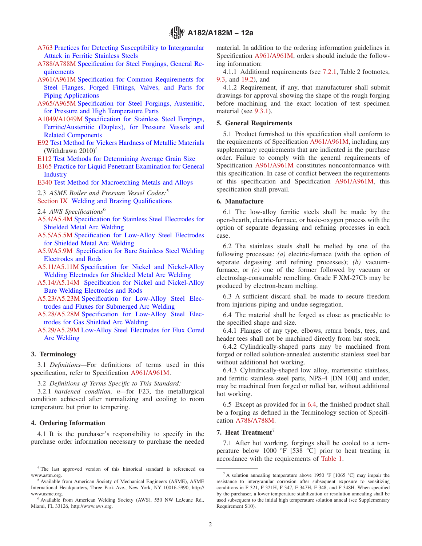- <span id="page-1-0"></span>[A763](#page-14-0) [Practices for Detecting Susceptibility to Intergranular](http://dx.doi.org/10.1520/A0763) [Attack in Ferritic Stainless Steels](http://dx.doi.org/10.1520/A0763)
- A788/A788M [Specification for Steel Forgings, General Re](http://dx.doi.org/10.1520/A0788_A0788M)[quirements](http://dx.doi.org/10.1520/A0788_A0788M)
- [A961/A961M](#page-0-0) [Specification for Common Requirements for](http://dx.doi.org/10.1520/A0961_A0961M) [Steel Flanges, Forged Fittings, Valves, and Parts for](http://dx.doi.org/10.1520/A0961_A0961M) [Piping Applications](http://dx.doi.org/10.1520/A0961_A0961M)
- [A965/A965M](#page-0-0) [Specification for Steel Forgings, Austenitic,](http://dx.doi.org/10.1520/A0965_A0965M) [for Pressure and High Temperature Parts](http://dx.doi.org/10.1520/A0965_A0965M)
- [A1049/A1049M](#page-0-0) [Specification for Stainless Steel Forgings,](http://dx.doi.org/10.1520/A1049_A1049M) [Ferritic/Austenitic \(Duplex\), for Pressure Vessels and](http://dx.doi.org/10.1520/A1049_A1049M) [Related Components](http://dx.doi.org/10.1520/A1049_A1049M)
- [E92](#page-9-0) [Test Method for Vickers Hardness of Metallic Materials](http://dx.doi.org/10.1520/E0092) (Withdrawn  $2010<sup>4</sup>$
- [E112](#page-9-0) [Test Methods for Determining Average Grain Size](http://dx.doi.org/10.1520/E0112)
- [E165](#page-9-0) [Practice for Liquid Penetrant Examination for General](http://dx.doi.org/10.1520/E0165) **[Industry](http://dx.doi.org/10.1520/E0165)**

[E340](#page-14-0) [Test Method for Macroetching Metals and Alloys](http://dx.doi.org/10.1520/E0340)

2.3 *ASME Boiler and Pressure Vessel Codes:*<sup>5</sup>

[Section IX](#page-11-0) Welding and Brazing Qualifications

- 2.4 *AWS Specifications*<sup>6</sup>
- [A5.4/A5.4M](#page-11-0) Specification for Stainless Steel Electrodes for Shielded Metal Arc Welding
- [A5.5/A5.5M](#page-11-0) Specification for Low-Alloy Steel Electrodes for Shielded Metal Arc Welding
- [A5.9/A5.9M](#page-11-0) Specification for Bare Stainless Steel Welding Electrodes and Rods
- [A5.11/A5.11M](#page-11-0) Specification for Nickel and Nickel-Alloy Welding Electrodes for Shielded Metal Arc Welding
- [A5.14/A5.14M](#page-11-0) Specification for Nickel and Nickel-Alloy Bare Welding Electrodes and Rods
- [A5.23/A5.23M](#page-13-0) Specification for Low-Alloy Steel Electrodes and Fluxes for Submerged Arc Welding
- [A5.28/A5.28M](#page-13-0) Specification for Low-Alloy Steel Electrodes for Gas Shielded Arc Welding
- [A5.29/A5.29M](#page-13-0) Low-Alloy Steel Electrodes for Flux Cored Arc Welding

### **3. Terminology**

3.1 *Definitions—*For definitions of terms used in this specification, refer to Specification A961/A961M.

3.2 *Definitions of Terms Specific to This Standard:*

3.2.1 *hardened condition, n—*for F23, the metallurgical condition achieved after normalizing and cooling to room temperature but prior to tempering.

# **4. Ordering Information**

4.1 It is the purchaser's responsibility to specify in the purchase order information necessary to purchase the needed material. In addition to the ordering information guidelines in Specification A961/A961M, orders should include the following information:

4.1.1 Additional requirements (see [7.2.1,](#page-3-0) Table 2 footnotes, [9.3,](#page-4-0) and [19.2\)](#page-14-0), and

4.1.2 Requirement, if any, that manufacturer shall submit drawings for approval showing the shape of the rough forging before machining and the exact location of test specimen material (see [9.3.1\)](#page-4-0).

# **5. General Requirements**

5.1 Product furnished to this specification shall conform to the requirements of Specification A961/A961M, including any supplementary requirements that are indicated in the purchase order. Failure to comply with the general requirements of Specification A961/A961M constitutes nonconformance with this specification. In case of conflict between the requirements of this specification and Specification [A961/A961M,](#page-4-0) this specification shall prevail.

## **6. Manufacture**

6.1 The low-alloy ferritic steels shall be made by the open-hearth, electric-furnace, or basic-oxygen process with the option of separate degassing and refining processes in each case.

6.2 The stainless steels shall be melted by one of the following processes: *(a)* electric-furnace (with the option of separate degassing and refining processes); *(b)* vacuumfurnace; or *(c)* one of the former followed by vacuum or electroslag-consumable remelting. Grade F XM-27Cb may be produced by electron-beam melting.

6.3 A sufficient discard shall be made to secure freedom from injurious piping and undue segregation.

6.4 The material shall be forged as close as practicable to the specified shape and size.

6.4.1 Flanges of any type, elbows, return bends, tees, and header tees shall not be machined directly from bar stock.

6.4.2 Cylindrically-shaped parts may be machined from forged or rolled solution-annealed austenitic stainless steel bar without additional hot working.

6.4.3 Cylindrically-shaped low alloy, martensitic stainless, and ferritic stainless steel parts, NPS-4 [DN 100] and under, may be machined from forged or rolled bar, without additional hot working.

6.5 Except as provided for in 6.4, the finished product shall be a forging as defined in the Terminology section of Specification A788/A788M.

## **7. Heat Treatment**<sup>7</sup>

7.1 After hot working, forgings shall be cooled to a temperature below 1000 °F [538 °C] prior to heat treating in accordance with the requirements of [Table 1.](#page-2-0)

<sup>&</sup>lt;sup>4</sup> The last approved version of this historical standard is referenced on www.astm.org.

<sup>5</sup> Available from American Society of Mechanical Engineers (ASME), ASME International Headquarters, Three Park Ave., New York, NY 10016-5990, http:// www.asme.org.

<sup>6</sup> Available from American Welding Society (AWS), 550 NW LeJeune Rd., Miami, FL 33126, http://www.aws.org.

 $7 A$  solution annealing temperature above 1950 °F [1065 °C] may impair the resistance to intergranular corrosion after subsequent exposure to sensitizing conditions in F 321, F 321H, F 347, F 347H, F 348, and F 348H. When specified by the purchaser, a lower temperature stabilization or resolution annealing shall be used subsequent to the initial high temperature solution anneal (see Supplementary Requirement S10).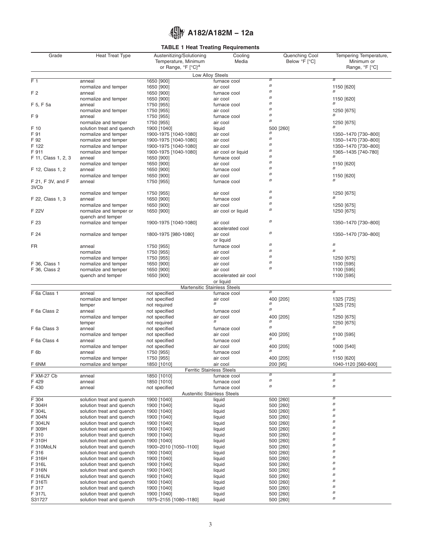# **TABLE 1 Heat Treating Requirements**

<span id="page-2-0"></span>

| Grade                          | <b>Heat Treat Type</b>                                 | Austenitizing/Solutioning<br>Temperature, Minimum | Cooling<br>Media                             | Quenching Cool<br>Below °F [°C]      | Tempering Temperature,<br>Minimum or |
|--------------------------------|--------------------------------------------------------|---------------------------------------------------|----------------------------------------------|--------------------------------------|--------------------------------------|
|                                |                                                        | or Range, °F [°C] <sup>A</sup>                    |                                              |                                      | Range, °F [°C]                       |
|                                |                                                        |                                                   | Low Alloy Steels                             | $\overline{B}$                       | $\overline{B}$                       |
| F <sub>1</sub>                 | anneal<br>normalize and temper                         | 1650 [900]<br>1650 [900]                          | furnace cool<br>air cool                     | $\boldsymbol{B}$                     | 1150 [620]                           |
| F 2                            | anneal                                                 | 1650 [900]                                        | furnace cool                                 | $\boldsymbol{B}$                     |                                      |
|                                | normalize and temper                                   | 1650 [900]                                        | air cool                                     | $\boldsymbol{B}$                     | 1150 [620]                           |
| F 5, F 5a                      | anneal                                                 | 1750 [955]                                        | furnace cool                                 | $\boldsymbol{B}$                     | $\overline{B}$                       |
|                                | normalize and temper                                   | 1750 [955]                                        | air cool                                     | $\boldsymbol{B}$                     | 1250 [675]                           |
| F9                             | anneal                                                 | 1750 [955]                                        | furnace cool                                 | $\boldsymbol{B}$<br>$\boldsymbol{B}$ |                                      |
| F 10                           | normalize and temper                                   | 1750 [955]                                        | air cool                                     |                                      | 1250 [675]<br>B                      |
| F 91                           | solution treat and quench<br>normalize and temper      | 1900 [1040]<br>1900-1975 [1040-1080]              | liquid<br>air cool                           | 500 [260]<br>$\boldsymbol{B}$        | 1350-1470 [730-800]                  |
| F 92                           | normalize and temper                                   | 1900-1975 [1040-1080]                             | air cool                                     | $\boldsymbol{B}$                     | 1350-1470 [730-800]                  |
| F 122                          | normalize and temper                                   | 1900-1975 [1040-1080]                             | air cool                                     | $\boldsymbol{B}$                     | 1350-1470 [730-800]                  |
| F 911                          | normalize and temper                                   | 1900-1975 [1040-1080]                             | air cool or liquid                           | $\boldsymbol{B}$                     | 1365-1435 [740-780]                  |
| F 11, Class 1, 2, 3            | anneal                                                 | 1650 [900]                                        | furnace cool                                 | $\boldsymbol{B}$<br>$\boldsymbol{B}$ |                                      |
|                                | normalize and temper                                   | 1650 [900]                                        | air cool                                     | $\boldsymbol{B}$                     | 1150 [620]<br>B                      |
| F 12, Class 1, 2               | anneal<br>normalize and temper                         | 1650 [900]<br>1650 [900]                          | furnace cool<br>air cool                     | $\boldsymbol{B}$                     |                                      |
| F 21, F 3V, and F              | anneal                                                 | 1750 [955]                                        | furnace cool                                 | $\boldsymbol{B}$                     | 1150 [620]                           |
| 3VC <sub>b</sub>               |                                                        |                                                   |                                              |                                      |                                      |
|                                | normalize and temper                                   | 1750 [955]                                        | air cool                                     | $\boldsymbol{B}$                     | 1250 [675]                           |
| F 22, Class 1, 3               | anneal                                                 | 1650 [900]                                        | furnace cool                                 | $\boldsymbol{B}$                     |                                      |
|                                | normalize and temper                                   | 1650 [900]                                        | air cool                                     | $\boldsymbol{B}$                     | 1250 [675]                           |
| F 22V                          | normalize and temper or                                | 1650 [900]                                        | air cool or liquid                           | $\boldsymbol{B}$                     | 1250 [675]                           |
| F 23                           | quench and temper                                      |                                                   | air cool                                     | $\boldsymbol{B}$                     | 1350-1470 [730-800]                  |
|                                | normalize and temper                                   | 1900-1975 [1040-1080]                             | accelerated cool                             |                                      |                                      |
| F 24                           | normalize and temper                                   | 1800-1975 [980-1080]                              | air cool                                     | $\boldsymbol{B}$                     | 1350-1470 [730-800]                  |
|                                |                                                        |                                                   | or liquid                                    |                                      |                                      |
| <b>FR</b>                      | anneal                                                 | 1750 [955]                                        | furnace cool                                 | $\boldsymbol{B}$                     | $\boldsymbol{B}$                     |
|                                | normalize                                              | 1750 [955]                                        | air cool                                     | $\boldsymbol{B}$                     | B                                    |
|                                | normalize and temper                                   | 1750 [955]                                        | air cool                                     | $\boldsymbol{B}$<br>$\boldsymbol{B}$ | 1250 [675]                           |
| F 36, Class 1<br>F 36, Class 2 | normalize and temper<br>normalize and temper           | 1650 [900]<br>1650 [900]                          | air cool<br>air cool                         | $\boldsymbol{B}$                     | 1100 [595]<br>1100 [595]             |
|                                | quench and temper                                      | 1650 [900]                                        | accelerated air cool                         |                                      | 1100 [595]                           |
|                                |                                                        |                                                   | or liquid                                    |                                      |                                      |
|                                |                                                        |                                                   | Martensitic Stainless Steels                 |                                      |                                      |
| F 6a Class 1                   | anneal                                                 | not specified                                     | furnace cool                                 | $\overline{B}$                       | $\overline{B}$                       |
|                                | normalize and temper                                   | not specified                                     | air cool<br>$\boldsymbol{B}$                 | 400 [205]<br>$\boldsymbol{B}$        | 1325 [725]                           |
| F 6a Class 2                   | temper<br>anneal                                       | not required<br>not specified                     | furnace cool                                 | $\boldsymbol{B}$                     | 1325 [725]<br>В                      |
|                                | normalize and temper                                   | not specified                                     | air cool                                     | 400 [205]                            | 1250 [675]                           |
|                                | temper                                                 | not required                                      | $\overline{B}$                               | $\boldsymbol{B}$                     | 1250 [675]                           |
| F 6a Class 3                   | anneal                                                 | not specified                                     | furnace cool                                 | $\boldsymbol{B}$                     | В                                    |
|                                | normalize and temper                                   | not specified                                     | air cool                                     | 400 [205]                            | 1100 [595]                           |
| F 6a Class 4                   | anneal                                                 | not specified                                     | furnace cool                                 | $\boldsymbol{B}$                     | $\overline{B}$                       |
|                                | normalize and temper                                   | not specified                                     | air cool                                     | 400 [205]<br>$\boldsymbol{B}$        | 1000 [540]<br>$\overline{B}$         |
| F <sub>6b</sub>                | anneal<br>normalize and temper                         | 1750 [955]<br>1750 [955]                          | furnace cool<br>air cool                     | 400 [205]                            |                                      |
| F 6NM                          | normalize and temper                                   | 1850 [1010]                                       | air cool                                     | 200 [95]                             | 1150 [620]<br>1040-1120 [560-600]    |
|                                |                                                        |                                                   | <b>Ferritic Stainless Steels</b>             |                                      |                                      |
| F XM-27 Cb                     | anneal                                                 | 1850 [1010]                                       | furnace cool                                 | $\overline{B}$                       | $\overline{B}$                       |
| F 429                          | anneal                                                 | 1850 [1010]                                       | furnace cool                                 | $\boldsymbol{B}$                     | $\boldsymbol{B}$                     |
| F 430                          | anneal                                                 | not specified                                     | furnace cool                                 | $\boldsymbol{B}$                     | $\boldsymbol{B}$                     |
| F 304                          | solution treat and quench                              | 1900 [1040]                                       | <b>Austenitic Stainless Steels</b><br>liquid | 500 [260]                            | В                                    |
| F 304H                         | solution treat and quench                              | 1900 [1040]                                       | liquid                                       | 500 [260]                            | B                                    |
| F 304L                         | solution treat and quench                              | 1900 [1040]                                       | liquid                                       | 500 [260]                            | B                                    |
| F 304N                         | solution treat and quench                              | 1900 [1040]                                       | liquid                                       | 500 [260]                            | $\boldsymbol{B}$                     |
| F 304LN                        | solution treat and quench                              | 1900 [1040]                                       | liquid                                       | 500 [260]                            | $\boldsymbol{B}$                     |
| F 309H                         | solution treat and quench                              | 1900 [1040]                                       | liquid                                       | 500 [260]                            | B                                    |
| F 310                          | solution treat and quench                              | 1900 [1040]                                       | liquid                                       | 500 [260]                            | B<br>$\boldsymbol{B}$                |
| F 310H<br>F 310MoLN            | solution treat and quench<br>solution treat and quench | 1900 [1040]<br>1900-2010 [1050-1100]              | liquid                                       | 500 [260]<br>500 [260]               | B                                    |
| F 316                          | solution treat and quench                              | 1900 [1040]                                       | liquid<br>liquid                             | 500 [260]                            | B                                    |
| F 316H                         | solution treat and quench                              | 1900 [1040]                                       | liquid                                       | 500 [260]                            | B                                    |
| F 316L                         | solution treat and quench                              | 1900 [1040]                                       | liquid                                       | 500 [260]                            | $\boldsymbol{B}$                     |
| F 316N                         | solution treat and quench                              | 1900 [1040]                                       | liquid                                       | 500 [260]                            | B                                    |
| F 316LN                        | solution treat and quench                              | 1900 [1040]                                       | liquid                                       | 500 [260]                            | $\boldsymbol{B}$                     |
| F 316Ti                        | solution treat and quench                              | 1900 [1040]                                       | liquid                                       | 500 [260]                            | $\boldsymbol{B}$<br>$\boldsymbol{B}$ |
| F 317<br>F 317L                | solution treat and quench<br>solution treat and quench | 1900 [1040]<br>1900 [1040]                        | liquid<br>liquid                             | 500 [260]                            | $\boldsymbol{B}$                     |
| S31727                         | solution treat and quench                              | 1975-2155 [1080-1180]                             | liquid                                       | 500 [260]<br>500 [260]               | $\boldsymbol{B}$                     |
|                                |                                                        |                                                   |                                              |                                      |                                      |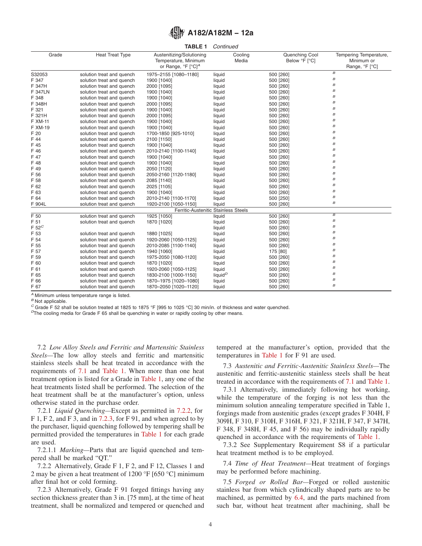**TABLE 1** *Continued*

<span id="page-3-0"></span>

| Grade          | <b>Heat Treat Type</b>    | Austenitizing/Solutioning      | Cooling                              | Quenching Cool | Tempering Temperature, |
|----------------|---------------------------|--------------------------------|--------------------------------------|----------------|------------------------|
|                |                           | Temperature, Minimum           | Media                                | Below °F [°C]  | Minimum or             |
|                |                           | or Range, °F [°C] <sup>A</sup> |                                      |                | Range, °F [°C]         |
| S32053         | solution treat and quench | 1975-2155 [1080-1180]          | liquid                               | 500 [260]      | $\boldsymbol{B}$       |
| F 347          | solution treat and quench | 1900 [1040]                    | liquid                               | 500 [260]      | $\boldsymbol{B}$       |
| F 347H         | solution treat and quench | 2000 [1095]                    | liquid                               | 500 [260]      | $\boldsymbol{B}$       |
| <b>F 347LN</b> | solution treat and quench | 1900 [1040]                    | liquid                               | 500 [260]      | $\boldsymbol{B}$       |
| F 348          | solution treat and quench | 1900 [1040]                    | liquid                               | 500 [260]      | $\boldsymbol{B}$       |
| F 348H         | solution treat and quench | 2000 [1095]                    | liquid                               | 500 [260]      | В                      |
| F 321          | solution treat and quench | 1900 [1040]                    | liquid                               | 500 [260]      | $\boldsymbol{B}$       |
| F 321H         | solution treat and quench | 2000 [1095]                    | liquid                               | 500 [260]      | $\boldsymbol{B}$       |
| F XM-11        | solution treat and quench | 1900 [1040]                    | liquid                               | 500 [260]      | $\boldsymbol{B}$       |
| F XM-19        | solution treat and quench | 1900 [1040]                    | liquid                               | 500 [260]      | $\boldsymbol{B}$       |
| F 20           | solution treat and quench | 1700-1850 [925-1010]           | liquid                               | 500 [260]      | $\boldsymbol{B}$       |
| F 44           | solution treat and quench | 2100 [1150]                    | liquid                               | 500 [260]      | $\boldsymbol{B}$       |
| F 45           | solution treat and quench | 1900 [1040]                    | liquid                               | 500 [260]      | $\boldsymbol{B}$       |
| F 46           | solution treat and quench | 2010-2140 [1100-1140]          | liquid                               | 500 [260]      | $\boldsymbol{B}$       |
| F 47           | solution treat and quench | 1900 [1040]                    | liquid                               | 500 [260]      | $\boldsymbol{B}$       |
| F 48           | solution treat and quench | 1900 [1040]                    | liquid                               | 500 [260]      | В                      |
| F 49           | solution treat and quench | 2050 [1120]                    | liquid                               | 500 [260]      | В                      |
| F 56           | solution treat and quench | 2050-2160 [1120-1180]          | liquid                               | 500 [260]      | $\boldsymbol{B}$       |
| F 58           | solution treat and quench | 2085 [1140]                    | liquid                               | 500 [260]      | B                      |
| F 62           | solution treat and quench | 2025 [1105]                    | liquid                               | 500 [260]      | $\boldsymbol{B}$       |
| F 63           | solution treat and quench | 1900 [1040]                    | liquid                               | 500 [260]      | $\boldsymbol{B}$       |
| F 64           | solution treat and quench | 2010-2140 [1100-1170]          | liquid                               | 500 [250]      | $\boldsymbol{B}$       |
| F 904L         | solution treat and quench | 1920-2100 [1050-1150]          | liquid                               | 500 [260]      | $\boldsymbol{B}$       |
|                |                           |                                | Ferritic-Austenitic Stainless Steels |                |                        |
| $F_{50}$       | solution treat and quench | 1925 [1050]                    | liquid                               | 500 [260]      | $\overline{B}$         |
| F 51           | solution treat and quench | 1870 [1020]                    | liquid                               | 500 [260]      | $\boldsymbol{B}$       |
| $F 52^C$       |                           |                                | liquid                               | 500 [260]      | $\boldsymbol{B}$       |
| F 53           | solution treat and quench | 1880 [1025]                    | liquid                               | 500 [260]      | $\boldsymbol{B}$       |
| F 54           | solution treat and quench | 1920-2060 [1050-1125]          | liquid                               | 500 [260]      | $\boldsymbol{B}$       |
| F 55           | solution treat and quench | 2010-2085 [1100-1140]          | liquid                               | 500 [260]      | $\boldsymbol{B}$       |
| F 57           | solution treat and quench | 1940 [1060]                    | liquid                               | 175 [80]       | В                      |
| F 59           | solution treat and quench | 1975-2050 [1080-1120]          | liquid                               | 500 [260]      | $\boldsymbol{B}$       |
| F 60           | solution treat and quench | 1870 [1020]                    | liquid                               | 500 [260]      | $\boldsymbol{B}$       |
| F 61           | solution treat and quench | 1920-2060 [1050-1125]          | liquid                               | 500 [260]      | $\boldsymbol{B}$       |
| F 65           | solution treat and quench | 1830-2100 [1000-1150]          | liquid <sup>D</sup>                  | 500 [260]      | $\boldsymbol{B}$       |
| F 66           | solution treat and quench | 1870-1975 [1020-1080]          | liquid                               | 500 [260]      | $\boldsymbol{B}$       |
| F 67           | solution treat and quench | 1870-2050 [1020-1120]          | liquid                               | 500 [260]      | $\boldsymbol{B}$       |
|                |                           |                                |                                      |                |                        |

*<sup>A</sup>* Minimum unless temperature range is listed.

*<sup>B</sup>* Not applicable.

 $^C$  Grade F 52 shall be solution treated at 1825 to 1875 °F [995 to 1025 °C] 30 min/in. of thickness and water quenched.<br>  $^D$ The cooling media for Grade F 65 shall be quenching in water or rapidly cooling by other means

7.2 *Low Alloy Steels and Ferritic and Martensitic Stainless Steels—*The low alloy steels and ferritic and martensitic stainless steels shall be heat treated in accordance with the requirements of [7.1](#page-1-0) and [Table 1.](#page-2-0) When more than one heat treatment option is listed for a Grade in [Table 1,](#page-2-0) any one of the heat treatments listed shall be performed. The selection of the heat treatment shall be at the manufacturer's option, unless otherwise stated in the purchase order.

7.2.1 *Liquid Quenching—*Except as permitted in 7.2.2, for  $F$  1, F 2, and F 3, and in 7.2.3, for F 91, and when agreed to by the purchaser, liquid quenching followed by tempering shall be permitted provided the temperatures in [Table 1](#page-2-0) for each grade are used.

7.2.1.1 *Marking—*Parts that are liquid quenched and tempered shall be marked "QT."

7.2.2 Alternatively, Grade F 1, F 2, and F 12, Classes 1 and 2 may be given a heat treatment of 1200 °F [650 °C] minimum after final hot or cold forming.

7.2.3 Alternatively, Grade F 91 forged fittings having any section thickness greater than 3 in. [75 mm], at the time of heat treatment, shall be normalized and tempered or quenched and tempered at the manufacturer's option, provided that the temperatures in [Table 1](#page-2-0) for F 91 are used.

7.3 *Austenitic and Ferritic-Austenitic Stainless Steels—*The austenitic and ferritic-austenitic stainless steels shall be heat treated in accordance with the requirements of [7.1](#page-1-0) and [Table 1.](#page-2-0)

7.3.1 Alternatively, immediately following hot working, while the temperature of the forging is not less than the minimum solution annealing temperature specified in Table 1, forgings made from austenitic grades (except grades F 304H, F 309H, F 310, F 310H, F 316H, F 321, F 321H, F 347, F 347H, F 348, F 348H, F 45, and F 56) may be individually rapidly quenched in accordance with the requirements of [Table 1.](#page-2-0)

7.3.2 See Supplementary Requirement S8 if a particular heat treatment method is to be employed.

7.4 *Time of Heat Treatment—*Heat treatment of forgings may be performed before machining.

7.5 *Forged or Rolled Bar—*Forged or rolled austenitic stainless bar from which cylindrically shaped parts are to be machined, as permitted by [6.4,](#page-1-0) and the parts machined from such bar, without heat treatment after machining, shall be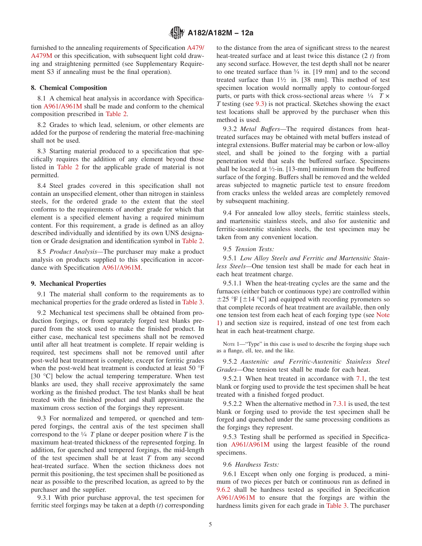<span id="page-4-0"></span>furnished to the annealing requirements of Specification [A479/](#page-0-0) [A479M](#page-0-0) or this specification, with subsequent light cold drawing and straightening permitted (see Supplementary Requirement S3 if annealing must be the final operation).

# **8. Chemical Composition**

8.1 A chemical heat analysis in accordance with Specification A961/A961M shall be made and conform to the chemical composition prescribed in [Table 2.](#page-5-0)

8.2 Grades to which lead, selenium, or other elements are added for the purpose of rendering the material free-machining shall not be used.

8.3 Starting material produced to a specification that specifically requires the addition of any element beyond those listed in [Table 2](#page-5-0) for the applicable grade of material is not permitted.

8.4 Steel grades covered in this specification shall not contain an unspecified element, other than nitrogen in stainless steels, for the ordered grade to the extent that the steel conforms to the requirements of another grade for which that element is a specified element having a required minimum content. For this requirement, a grade is defined as an alloy described individually and identified by its own UNS designation or Grade designation and identification symbol in [Table 2.](#page-5-0)

8.5 *Product Analysis—*The purchaser may make a product analysis on products supplied to this specification in accordance with Specification A961/A961M.

## **9. Mechanical Properties**

9.1 The material shall conform to the requirements as to mechanical properties for the grade ordered as listed in [Table 3.](#page-10-0)

9.2 Mechanical test specimens shall be obtained from production forgings, or from separately forged test blanks prepared from the stock used to make the finished product. In either case, mechanical test specimens shall not be removed until after all heat treatment is complete. If repair welding is required, test specimens shall not be removed until after post-weld heat treatment is complete, except for ferritic grades when the post-weld heat treatment is conducted at least 50 °F [30 °C] below the actual tempering temperature. When test blanks are used, they shall receive approximately the same working as the finished product. The test blanks shall be heat treated with the finished product and shall approximate the maximum cross section of the forgings they represent.

9.3 For normalized and tempered, or quenched and tempered forgings, the central axis of the test specimen shall correspond to the 1⁄4 *T* plane or deeper position where *T* is the maximum heat-treated thickness of the represented forging. In addition, for quenched and tempered forgings, the mid-length of the test specimen shall be at least *T* from any second heat-treated surface. When the section thickness does not permit this positioning, the test specimen shall be positioned as near as possible to the prescribed location, as agreed to by the purchaser and the supplier.

9.3.1 With prior purchase approval, the test specimen for ferritic steel forgings may be taken at a depth (*t*) corresponding to the distance from the area of significant stress to the nearest heat-treated surface and at least twice this distance (2 *t*) from any second surface. However, the test depth shall not be nearer to one treated surface than 3⁄4 in. [19 mm] and to the second treated surface than  $1\frac{1}{2}$  in. [38 mm]. This method of test specimen location would normally apply to contour-forged parts, or parts with thick cross-sectional areas where 1⁄4 *T × T* testing (see 9.3) is not practical. Sketches showing the exact test locations shall be approved by the purchaser when this method is used.

9.3.2 *Metal Buffers—*The required distances from heattreated surfaces may be obtained with metal buffers instead of integral extensions. Buffer material may be carbon or low-alloy steel, and shall be joined to the forging with a partial penetration weld that seals the buffered surface. Specimens shall be located at  $\frac{1}{2}$ -in. [13-mm] minimum from the buffered surface of the forging. Buffers shall be removed and the welded areas subjected to magnetic particle test to ensure freedom from cracks unless the welded areas are completely removed by subsequent machining.

9.4 For annealed low alloy steels, ferritic stainless steels, and martensitic stainless steels, and also for austenitic and ferritic-austenitic stainless steels, the test specimen may be taken from any convenient location.

### 9.5 *Tension Tests:*

9.5.1 *Low Alloy Steels and Ferritic and Martensitic Stainless Steels—*One tension test shall be made for each heat in each heat treatment charge.

9.5.1.1 When the heat-treating cycles are the same and the furnaces (either batch or continuous type) are controlled within  $\pm$ 25 °F [ $\pm$ 14 °C] and equipped with recording pyrometers so that complete records of heat treatment are available, then only one tension test from each heat of each forging type (see Note 1) and section size is required, instead of one test from each heat in each heat-treatment charge.

NOTE 1—"Type" in this case is used to describe the forging shape such as a flange, ell, tee, and the like.

9.5.2 *Austenitic and Ferritic-Austenitic Stainless Steel Grades—*One tension test shall be made for each heat.

9.5.2.1 When heat treated in accordance with [7.1,](#page-1-0) the test blank or forging used to provide the test specimen shall be heat treated with a finished forged product.

9.5.2.2 When the alternative method in [7.3.1](#page-3-0) is used, the test blank or forging used to provide the test specimen shall be forged and quenched under the same processing conditions as the forgings they represent.

9.5.3 Testing shall be performed as specified in Specification A961/A961M using the largest feasible of the round specimens.

9.6 *Hardness Tests:*

9.6.1 Except when only one forging is produced, a minimum of two pieces per batch or continuous run as defined in [9.6.2](#page-9-0) shall be hardness tested as specified in Specification [A961/A961M](#page-9-0) to ensure that the forgings are within the hardness limits given for each grade in [Table 3.](#page-10-0) The purchaser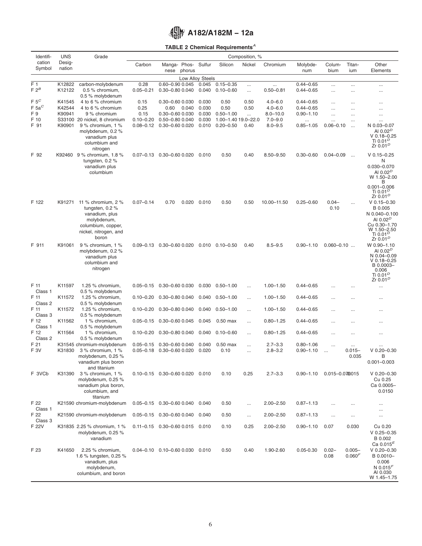# **TABLE 2 Chemical Requirements***<sup>A</sup>*

<span id="page-5-0"></span>

| Identifi-                 | <b>UNS</b>       | Grade                                                                                                                            |                                |                                                |        |                  |                                      | Composition, %        |                            |                                |                           |                                |                                                                                                                                      |
|---------------------------|------------------|----------------------------------------------------------------------------------------------------------------------------------|--------------------------------|------------------------------------------------|--------|------------------|--------------------------------------|-----------------------|----------------------------|--------------------------------|---------------------------|--------------------------------|--------------------------------------------------------------------------------------------------------------------------------------|
| cation<br>Symbol          | Desig-<br>nation |                                                                                                                                  | Carbon                         | Manga- Phos- Sulfur<br>nese                    | phorus |                  | Silicon                              | Nickel                | Chromium                   | Molybde-<br>num                | Colum-<br>bium            | Titan-<br>ium                  | Other<br>Elements                                                                                                                    |
|                           |                  |                                                                                                                                  |                                |                                                |        | Low Alloy Steels |                                      |                       |                            |                                |                           |                                |                                                                                                                                      |
| F <sub>1</sub><br>$F 2^B$ | K12822<br>K12122 | carbon-molybdenum<br>0.5 % chromium,                                                                                             | 0.28<br>$0.05 - 0.21$          | 0.60-0.90 0.045<br>0.30-0.80 0.040             |        | 0.045<br>0.040   | $0.15 - 0.35$<br>$0.10 - 0.60$       | $\cdots$<br>$\cdots$  | $0.50 - 0.81$              | $0.44 - 0.65$<br>$0.44 - 0.65$ | $\cdots$<br>$\cdots$      | $\cdots$<br>$\cdots$           | $\cdots$<br>$\cdots$                                                                                                                 |
| $F 5^C$<br>$F$ 5a $^C$    | K41545<br>K42544 | 0.5 % molybdenum<br>4 to 6 % chromium<br>4 to 6 % chromium                                                                       | 0.15<br>0.25                   | 0.30-0.60 0.030<br>0.60                        | 0.040  | 0.030<br>0.030   | 0.50<br>0.50                         | 0.50<br>0.50          | $4.0 - 6.0$<br>$4.0 - 6.0$ | $0.44 - 0.65$<br>$0.44 - 0.65$ | <br>$\cdots$              | .<br>                          | $\cdots$<br>$\cdots$                                                                                                                 |
| F 9                       | K90941           | 9 % chromium                                                                                                                     | 0.15                           | 0.30-0.60 0.030                                |        | 0.030            | $0.50 - 1.00$                        | $\cdots$              | $8.0 - 10.0$               | $0.90 - 1.10$                  |                           |                                | $\cdots$                                                                                                                             |
| F 10<br>F 91              | K90901           | S33100 20 nickel, 8 chromium<br>9 % chromium, 1 %<br>molybdenum, 0.2 %<br>vanadium plus<br>columbium and<br>nitrogen             | $0.10 - 0.20$<br>$0.08 - 0.12$ | 0.50-0.80 0.040<br>$0.30 - 0.60$ $0.020$       |        | 0.030<br>0.010   | 1.00-1.40 19.0-22.0<br>$0.20 - 0.50$ | 0.40                  | $7.0 - 9.0$<br>$8.0 - 9.5$ | $\cdots$<br>$0.85 - 1.05$      | $\cdots$<br>$0.06 - 0.10$ | $\cdots$<br>$\ddotsc$          | $\cdots$<br>N 0.03-0.07<br>AI 0.02 $^{D}$<br>$V$ 0.18-0.25<br>Ti 0.01 $\mathrm{^{\prime\prime}}$<br>Zr $0.01D$                       |
| F 92                      |                  | K92460 9 % chromium, 1.8 %<br>tungsten, $0.2\%$<br>vanadium plus<br>columbium                                                    | $0.07 - 0.13$                  | 0.30-0.60 0.020                                |        | 0.010            | 0.50                                 | 0.40                  | $8.50 - 9.50$              | $0.30 - 0.60$                  | $0.04 - 0.09$             | $\ddotsc$                      | $V$ 0.15-0.25<br>N<br>$0.030 - 0.070$<br>AI 0.02 <sup>D</sup><br>W 1.50-2.00<br>в<br>$0.001 - 0.006$<br>Ti 0.01 $^{D}$<br>Zr $0.01D$ |
| F 122                     | K91271           | 11 % chromium, 2 %<br>tungsten, $0.2\%$<br>vanadium, plus<br>molybdenum,<br>columbium, copper,<br>nickel, nitrogen, and<br>boron | $0.07 - 0.14$                  | 0.70                                           | 0.020  | 0.010            | 0.50                                 | 0.50                  | 10.00-11.50                | $0.25 - 0.60$                  | $0.04 -$<br>0.10          | $\cdots$                       | $V$ 0.15-0.30<br>B 0.005<br>N 0.040-0.100<br>AI 0.02 $^{D}$<br>Cu 0.30-1.70<br>W 1.50-2.50<br>Ti 0.01 <sup>D</sup><br>Zr $0.01D$     |
| F 911                     | K91061           | 9 % chromium, 1 %<br>molybdenum, 0.2 %<br>vanadium plus<br>columbium and<br>nitrogen                                             | $0.09 - 0.13$                  | 0.30-0.60 0.020                                |        |                  | $0.010$ $0.10 - 0.50$                | 0.40                  | $8.5 - 9.5$                | $0.90 - 1.10$                  | $0.060 - 0.10$            |                                | W 0.90-1.10<br>AI 0.02 $^{D}$<br>N 0.04-0.09<br>$V$ 0.18-0.25<br>B 0.0003-<br>0.006<br>Ti 0.01 <sup>D</sup><br>Zr 0.01 <sup>D</sup>  |
| F 11<br>Class 1           | K11597           | 1.25 % chromium,<br>0.5 % molybdenum                                                                                             | $0.05 - 0.15$                  | 0.30-0.60 0.030                                |        | 0.030            | $0.50 - 1.00$                        | $\cdots$              | $1.00 - 1.50$              | $0.44 - 0.65$                  | $\ddotsc$                 | $\cdots$                       | $\cdots$                                                                                                                             |
| F 11<br>Class 2           | K11572           | 1.25 $%$ chromium,<br>0.5 % molybdenum                                                                                           | $0.10 - 0.20$                  | 0.30-0.80 0.040                                |        | 0.040            | $0.50 - 1.00$                        | $\cdots$              | $1.00 - 1.50$              | $0.44 - 0.65$                  |                           |                                | $\cdots$                                                                                                                             |
| F 11<br>Class 3           | K11572           | 1.25 $%$ chromium,<br>0.5 % molybdenum                                                                                           | $0.10 - 0.20$                  | 0.30-0.80 0.040                                |        | 0.040            | $0.50 - 1.00$                        | $\cdots$              | $1.00 - 1.50$              | $0.44 - 0.65$                  |                           |                                | $\cdots$                                                                                                                             |
| F 12<br>Class 1           | K11562           | 1 % chromium,<br>0.5 % molybdenum                                                                                                | $0.05 - 0.15$                  | 0.30-0.60 0.045                                |        | 0.045            | $0.50$ max                           | $\ddotsc$             | $0.80 - 1.25$              | $0.44 - 0.65$                  | $\ddotsc$                 | $\cdots$                       | $\cdots$                                                                                                                             |
| F 12<br>Class 2           | K11564           | 1 % chromium,<br>0.5 % molybdenum                                                                                                | $0.10 - 0.20$                  | 0.30-0.80 0.040                                |        | 0.040            | $0.10 - 0.60$                        | $\ldots$              | $0.80 - 1.25$              | $0.44 - 0.65$                  |                           |                                | $\cdots$                                                                                                                             |
| F 21<br>F 3V              | K31830           | K31545 chromium-molybdenum<br>3 % chromium, 1 %<br>molybdenum, 0.25 %<br>vanadium plus boron<br>and titanium                     | $0.05 - 0.15$<br>$0.05 - 0.18$ | $0.30 - 0.60$ $0.040$<br>$0.30 - 0.60$ $0.020$ |        | 0.040<br>0.020   | $0.50$ max<br>0.10                   | $\ddotsc$<br>$\cdots$ | $2.7 - 3.3$<br>$2.8 - 3.2$ | $0.80 - 1.06$<br>$0.90 - 1.10$ | $\ddotsc$                 | $\cdots$<br>$0.015 -$<br>0.035 | $\cdots$<br>$V$ 0.20-0.30<br>B<br>$0.001 - 0.003$                                                                                    |
| F 3VCb                    | K31390           | 3 % chromium, 1 %<br>molybdenum, 0.25 %<br>vanadium plus boron,<br>columbium, and<br>titanium                                    |                                | $0.10 - 0.15$ $0.30 - 0.60$ $0.020$ $0.010$    |        |                  | 0.10                                 | 0.25                  | $2.7 - 3.3$                | $0.90 - 1.10$                  | 0.015-0.0700015           |                                | $V$ 0.20-0.30<br>Cu 0.25<br>Ca 0.0005-<br>0.0150                                                                                     |
| F 22<br>Class 1           |                  | K21590 chromium-molybdenum                                                                                                       |                                | $0.05 - 0.15$ $0.30 - 0.60$ $0.040$ $0.040$    |        |                  | 0.50                                 | $\cdots$              | $2.00 - 2.50$              | $0.87 - 1.13$                  |                           | $\cdots$                       | $\cdots$                                                                                                                             |
| F 22<br>Class 3           |                  | K21590 chromium-molybdenum                                                                                                       |                                | $0.05 - 0.15$ $0.30 - 0.60$ $0.040$ $0.040$    |        |                  | 0.50                                 | $\cdots$              | $2.00 - 2.50$              | $0.87 - 1.13$                  | $\ddots$                  | $\cdots$                       | $\cdots$<br>$\cdots$                                                                                                                 |
| F 22V                     |                  | K31835 2.25 % chromium, 1 %<br>molybdenum, 0.25 %<br>vanadium                                                                    |                                | $0.11 - 0.15$ $0.30 - 0.60$ $0.015$ $0.010$    |        |                  | 0.10                                 | 0.25                  | $2.00 - 2.50$              | $0.90 - 1.10$                  | 0.07                      | 0.030                          | Cu 0.20<br>$V$ 0.25-0.35<br>B 0.002<br>Ca $0.015^E$                                                                                  |
| F 23                      | K41650           | 2.25 % chromium,<br>1.6 % tungsten, 0.25 %<br>vanadium, plus<br>molybdenum,<br>columbium, and boron                              |                                | 0.04-0.10  0.10-0.60  0.030  0.010             |        |                  | 0.50                                 | 0.40                  | 1.90-2.60                  | $0.05 - 0.30$                  | $0.02 -$<br>0.08          | $0.005 -$<br>0.060F            | $V$ 0.20-0.30<br>B 0.0010-<br>0.006<br>N $0.015F$<br>AI 0.030<br>W 1.45-1.75                                                         |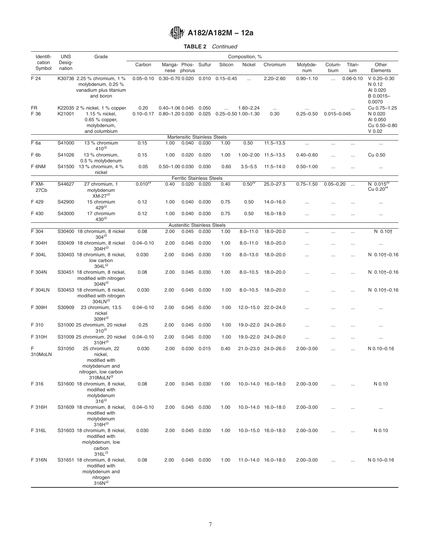# **TABLE 2** *Continued*

| Identifi-         | <b>UNS</b>       | Grade                                                                                                         |                                     |                 |                                           |                |               | Composition, %                       |                     |                           |                 |               |                                                                 |
|-------------------|------------------|---------------------------------------------------------------------------------------------------------------|-------------------------------------|-----------------|-------------------------------------------|----------------|---------------|--------------------------------------|---------------------|---------------------------|-----------------|---------------|-----------------------------------------------------------------|
| cation<br>Symbol  | Desig-<br>nation |                                                                                                               | Carbon                              | nese            | Manga- Phos-<br>phorus                    | Sulfur         | Silicon       | Nickel                               | Chromium            | Molybde-<br>num           | Colum-<br>bium  | Titan-<br>ium | Other<br>Elements                                               |
| F 24              |                  | K30736 2.25 % chromium, 1 %<br>molybdenum, 0.25 %<br>vanadium plus titanium<br>and boron                      | $0.05 - 0.10$ $0.30 - 0.70$ $0.020$ |                 |                                           | 0.010          | $0.15 - 0.45$ | $\ddotsc$                            | $2.20 - 2.60$       | $0.90 - 1.10$             | $\ddotsc$       | $0.06 - 0.10$ | $V$ 0.20-0.30<br>N 0.12<br>AI 0.020<br>B 0.0015-<br>0.0070      |
| <b>FR</b><br>F 36 | K21001           | K22035 2 % nickel, 1 % copper<br>1.15 % nickel,<br>0.65 % copper,<br>molybdenum,<br>and columbium             | 0.20<br>$0.10 - 0.17$               | 0.80-1.20 0.030 | 0.40-1.06 0.045                           | 0.050<br>0.025 |               | $1.60 - 2.24$<br>0.25-0.50 1.00-1.30 | $\cdots$<br>0.30    | $\cdots$<br>$0.25 - 0.50$ | $0.015 - 0.045$ |               | Cu 0.75-1.25<br>N 0.020<br>AI 0.050<br>Cu 0.50-0.80<br>$V$ 0.02 |
|                   |                  |                                                                                                               |                                     |                 | <b>Martensitic Stainless Steels</b>       |                |               |                                      |                     |                           |                 |               |                                                                 |
| $\bar{F}$ 6a      | S41000           | 13 % chromium<br>$410^G$                                                                                      | 0.15                                | 1.00            | 0.040                                     | 0.030          | 1.00          | 0.50                                 | $11.5 - 13.5$       | $\cdots$                  | $\cdots$        |               | $\cdots$                                                        |
| F <sub>6b</sub>   | S41026           | 13 % chromium,<br>0.5 % molybdenum                                                                            | 0.15                                | 1.00            | 0.020                                     | 0.020          | 1.00          | $1.00 - 2.00$                        | $11.5 - 13.5$       | $0.40 - 0.60$             | $\cdots$        | $\cdots$      | Cu 0.50                                                         |
| F 6NM             |                  | S41500 13 % chromium, 4 %<br>nickel                                                                           | 0.05                                |                 | 0.50-1.00 0.030                           | 0.030          | 0.60          | $3.5 - 5.5$                          | $11.5 - 14.0$       | $0.50 - 1.00$             |                 | .             | $\cdots$                                                        |
| F XM-             | S44627           | 27 chromium, 1                                                                                                | $0.010^{H}$                         | 0.40            | <b>Ferritic Stainless Steels</b><br>0.020 | 0.020          | 0.40          | 0.50 <sup>H</sup>                    | $25.0 - 27.5$       | $0.75 - 1.50$             | $0.05 - 0.20$   |               | N $0.015^H$                                                     |
| 27Cb              |                  | molybdenum<br>$XM-27^G$                                                                                       |                                     |                 |                                           |                |               |                                      |                     |                           |                 | $\cdots$      | Cu $0.20H$                                                      |
| F 429             | S42900           | 15 chromium<br>$429$ <sup>G</sup>                                                                             | 0.12                                | 1.00            | 0.040                                     | 0.030          | 0.75          | 0.50                                 | $14.0 - 16.0$       |                           |                 |               |                                                                 |
| F 430             | S43000           | 17 chromium<br>430 <sup>G</sup>                                                                               | 0.12                                | 1.00            | 0.040                                     | 0.030          | 0.75          | 0.50                                 | $16.0 - 18.0$       | $\cdots$                  | $\cdots$        | $\ddotsc$     | $\cdots$                                                        |
|                   |                  |                                                                                                               |                                     |                 | <b>Austenitic Stainless Steels</b>        |                |               |                                      |                     |                           |                 |               |                                                                 |
| F 304             |                  | S30400 18 chromium, 8 nickel<br>304 <sup>G</sup>                                                              | 0.08                                | 2.00            | 0.045                                     | 0.030          | 1.00          | $8.0 - 11.0$                         | $18.0 - 20.0$       | $\cdots$                  | $\cdots$        | $\cdots$      | $N$ 0.10 $\dagger$                                              |
| F 304H            |                  | S30409 18 chromium, 8 nickel<br>304H <sup>G</sup>                                                             | $0.04 - 0.10$                       | 2.00            | 0.045                                     | 0.030          | 1.00          | $8.0 - 11.0$                         | $18.0 - 20.0$       |                           |                 |               | $\cdots$                                                        |
| F 304L            |                  | S30403 18 chromium, 8 nickel,<br>low carbon<br>304L <sup>G</sup>                                              | 0.030                               | 2.00            | 0.045                                     | 0.030          | 1.00          | $8.0 - 13.0$                         | $18.0 - 20.0$       | $\cdots$                  | $\cdots$        | $\cdots$      | $N$ 0.10†–0.16                                                  |
| F 304N            |                  | S30451 18 chromium, 8 nickel,<br>modified with nitrogen<br>$304N$ <sup>G</sup>                                | 0.08                                | 2.00            | 0.045                                     | 0.030          | 1.00          | $8.0 - 10.5$                         | 18.0–20.0           | $\ddotsc$                 |                 | .             | $N$ 0.10†–0.16                                                  |
| F 304LN           |                  | S30453 18 chromium, 8 nickel,<br>modified with nitrogen<br>304 $LNG$                                          | 0.030                               | 2.00            | 0.045                                     | 0.030          | 1.00          | $8.0 - 10.5$                         | 18.0–20.0           | $\cdots$                  |                 | .             | $N$ 0.10†-0.16                                                  |
| F 309H            | S30909           | 23 chromium, 13.5<br>nickel<br>309H <sup>G</sup>                                                              | $0.04 - 0.10$                       | 2.00            | 0.045                                     | 0.030          | 1.00          |                                      | 12.0-15.0 22.0-24.0 | $\cdots$                  |                 | .             |                                                                 |
| F 310             |                  | S31000 25 chromium, 20 nickel<br>$310^G$                                                                      | 0.25                                | 2.00            | 0.045                                     | 0.030          | 1.00          |                                      | 19.0-22.0 24.0-26.0 | $\cdots$                  |                 |               | $\cdots$                                                        |
| F 310H            |                  | S31009 25 chromium, 20 nickel<br>310H <sup>G</sup>                                                            | $0.04 - 0.10$                       | 2.00            | 0.045                                     | 0.030          | 1.00          |                                      | 19.0-22.0 24.0-26.0 | $\cdots$                  |                 |               | $\cdots$                                                        |
| F<br>310MoLN      | S31050           | 25 chromium, 22<br>nickel,<br>modified with<br>molybdenum and<br>nitrogen, low carbon<br>310MoLN <sup>G</sup> | 0.030                               | 2.00            | 0.030                                     | 0.015          | 0.40          |                                      | 21.0-23.0 24.0-26.0 | $2.00 - 3.00$             |                 | .             | N 0.10-0.16                                                     |
| F 316             |                  | S31600 18 chromium, 8 nickel,<br>modified with<br>molybdenum<br>$316^G$                                       | 0.08                                | 2.00            |                                           | 0.045 0.030    | 1.00          |                                      | 10.0-14.0 16.0-18.0 | $2.00 - 3.00$             |                 |               | N 0.10                                                          |
| F 316H            |                  | S31609 18 chromium, 8 nickel,<br>modified with<br>molybdenum<br>316 $H^G$                                     | $0.04 - 0.10$                       | 2.00            |                                           | 0.045 0.030    | 1.00          |                                      | 10.0-14.0 16.0-18.0 | $2.00 - 3.00$             |                 |               | $\cdots$                                                        |
| F 316L            |                  | S31603 18 chromium, 8 nickel,<br>modified with<br>molybdenum, low<br>carbon<br>$316L$ <sup>G</sup>            | 0.030                               | 2.00            |                                           | 0.045 0.030    | 1.00          |                                      | 10.0-15.0 16.0-18.0 | $2.00 - 3.00$             |                 |               | N 0.10                                                          |
| F 316N            |                  | S31651 18 chromium, 8 nickel,<br>modified with<br>molybdenum and<br>nitrogen<br>$316N$ <sup>G</sup>           | 0.08                                | 2.00            |                                           | 0.045 0.030    | 1.00          |                                      | 11.0-14.0 16.0-18.0 | $2.00 - 3.00$             |                 | $\cdots$      | N 0.10-0.16                                                     |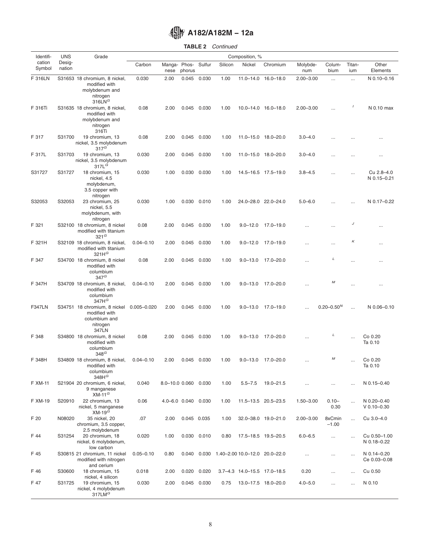| <b>TABLE 2</b> | Continued |
|----------------|-----------|
|                |           |

| Identifi-        | <b>UNS</b>       | Grade                                                                                      |                 |                      |        |             |         | Composition, %                                |                            |                 |                   |               |                              |
|------------------|------------------|--------------------------------------------------------------------------------------------|-----------------|----------------------|--------|-------------|---------|-----------------------------------------------|----------------------------|-----------------|-------------------|---------------|------------------------------|
| cation<br>Symbol | Desig-<br>nation |                                                                                            | Carbon          | Manga- Phos-<br>nese | phorus | Sulfur      | Silicon | Nickel                                        | Chromium                   | Molybde-<br>num | Colum-<br>bium    | Titan-<br>ium | Other<br>Elements            |
| F 316LN          |                  | S31653 18 chromium, 8 nickel,<br>modified with<br>molybdenum and<br>nitrogen<br>316LN $^G$ | 0.030           | 2.00                 | 0.045  | 0.030       | 1.00    |                                               | 11.0-14.0 16.0-18.0        | $2.00 - 3.00$   | $\cdots$          | $\cdots$      | N 0.10-0.16                  |
| F 316Ti          |                  | S31635 18 chromium, 8 nickel,<br>modified with<br>molybdenum and<br>nitrogen<br>316Ti      | 0.08            | 2.00                 | 0.045  | 0.030       | 1.00    |                                               | 10.0-14.0 16.0-18.0        | $2.00 - 3.00$   | $\ddotsc$         |               | N 0.10 max                   |
| F 317            | S31700           | 19 chromium, 13<br>nickel, 3.5 molybdenum<br>$317^G$                                       | 0.08            | 2.00                 | 0.045  | 0.030       | 1.00    |                                               | 11.0-15.0 18.0-20.0        | $3.0 - 4.0$     |                   |               |                              |
| F 317L           | S31703           | 19 chromium, 13<br>nickel, 3.5 molybdenum<br>317L <sup>G</sup>                             | 0.030           | 2.00                 | 0.045  | 0.030       | 1.00    |                                               | 11.0-15.0 18.0-20.0        | $3.0 - 4.0$     |                   |               | $\cdots$                     |
| S31727           | S31727           | 18 chromium, 15<br>nickel, 4.5<br>molybdenum,<br>3.5 copper with<br>nitrogen               | 0.030           | 1.00                 | 0.030  | 0.030       | 1.00    |                                               | 14.5-16.5 17.5-19.0        | $3.8 - 4.5$     |                   |               | Cu 2.8-4.0<br>N 0.15-0.21    |
| S32053           | S32053           | 23 chromium, 25<br>nickel, 5.5<br>molybdenum, with<br>nitrogen                             | 0.030           | 1.00                 |        | 0.030 0.010 | 1.00    |                                               | 24.0-28.0 22.0-24.0        | $5.0 - 6.0$     |                   | $\cdots$      | N 0.17-0.22                  |
| F 321            |                  | S32100 18 chromium, 8 nickel<br>modified with titanium<br>321 <sup>G</sup>                 | 0.08            | 2.00                 | 0.045  | 0.030       | 1.00    | $9.0 - 12.0$                                  | 17.0–19.0                  |                 |                   | J             |                              |
| F 321H           |                  | S32109 18 chromium, 8 nickel,<br>modified with titanium<br>321H <sup>G</sup>               | $0.04 - 0.10$   | 2.00                 | 0.045  | 0.030       | 1.00    | $9.0 - 12.0$                                  | 17.0-19.0                  | $\cdots$        | $\cdots$          | Κ             |                              |
| F 347            |                  | S34700 18 chromium, 8 nickel<br>modified with<br>columbium<br>347 <sup>G</sup>             | 0.08            | 2.00                 |        | 0.045 0.030 | 1.00    | $9.0 - 13.0$                                  | 17.0–20.0                  |                 | L                 | $\cdots$      |                              |
| F 347H           |                  | S34709 18 chromium, 8 nickel,<br>modified with<br>columbium<br>347H <sup>G</sup>           | $0.04 - 0.10$   | 2.00                 | 0.045  | 0.030       | 1.00    | $9.0 - 13.0$                                  | 17.0-20.0                  |                 | М                 | $\cdots$      |                              |
| <b>F347LN</b>    |                  | S34751 18 chromium, 8 nickel<br>modified with<br>columbium and<br>nitrogen<br>347LN        | $0.005 - 0.020$ | 2.00                 | 0.045  | 0.030       | 1.00    |                                               | $9.0 - 13.0$ $17.0 - 19.0$ | $\ddotsc$       | $0.20 - 0.50N$    | $\ddotsc$     | N 0.06-0.10                  |
| F 348            |                  | S34800 18 chromium, 8 nickel<br>modified with<br>columbium<br>$348$ <sup>G</sup>           | 0.08            | 2.00                 |        | 0.045 0.030 | 1.00    | $9.0 - 13.0$                                  | 17.0–20.0                  |                 | L                 | $\cdots$      | Co 0.20<br>Ta 0.10           |
| F 348H           |                  | S34809 18 chromium. 8 nickel.<br>modified with<br>columbium<br>348 $HG$                    | $0.04 - 0.10$   | 2.00                 | 0.045  | 0.030       | 1.00    |                                               | 9.0-13.0 17.0-20.0         |                 | М                 |               | $Co$ $0.20$<br>Ta 0.10       |
| F XM-11          |                  | S21904 20 chromium, 6 nickel,<br>9 manganese<br>$XM-11G$                                   | 0.040           | 8.0-10.0 0.060 0.030 |        |             | 1.00    | $5.5 - 7.5$                                   | 19.0-21.5                  | $\ddotsc$       |                   |               | N 0.15-0.40                  |
| F XM-19          | S20910           | 22 chromium, 13<br>nickel, 5 manganese<br>$XM-19^{\check{G}}$                              | 0.06            | 4.0-6.0 0.040 0.030  |        |             | 1.00    |                                               | 11.5-13.5 20.5-23.5        | $1.50 - 3.00$   | $0.10 -$<br>0.30  | $\cdots$      | N 0.20-0.40<br>$V$ 0.10-0.30 |
| F 20             | N08020           | 35 nickel, 20<br>chromium, 3.5 copper,<br>2.5 molybdenum                                   | .07             | 2.00                 |        | 0.045 0.035 | 1.00    |                                               | 32.0-38.0 19.0-21.0        | $2.00 - 3.00$   | 8xCmin<br>$-1.00$ |               | Cu 3.0-4.0                   |
| F 44             | S31254           | 20 chromium, 18<br>nickel, 6 molybdenum,<br>low carbon                                     | 0.020           | 1.00                 |        | 0.030 0.010 | 0.80    |                                               | 17.5-18.5 19.5-20.5        | $6.0 - 6.5$     | $\cdots$          |               | Cu 0.50-1.00<br>N 0.18-0.22  |
| F 45             |                  | S30815 21 chromium, 11 nickel<br>modified with nitrogen<br>and cerium                      | $0.05 - 0.10$   | 0.80                 |        |             |         | 0.040  0.030  1.40-2.00  10.0-12.0  20.0-22.0 |                            |                 | $\cdots$          | $\cdots$      | N 0.14-0.20<br>Ce 0.03-0.08  |
| F 46             | S30600           | 18 chromium, 15<br>nickel, 4 silicon                                                       | 0.018           | 2.00                 |        | 0.020 0.020 |         | 3.7-4.3 14.0-15.5 17.0-18.5                   |                            | 0.20            | $\cdots$          | $\cdots$      | Cu 0.50                      |
| F 47             | S31725           | 19 chromium, 15<br>nickel, 4 molybdenum<br>317LM $^G$                                      | 0.030           | 2.00                 |        | 0.045 0.030 | 0.75    |                                               | 13.0-17.5 18.0-20.0        | $4.0 - 5.0$     | $\ddotsc$         | $\ddotsc$     | N 0.10                       |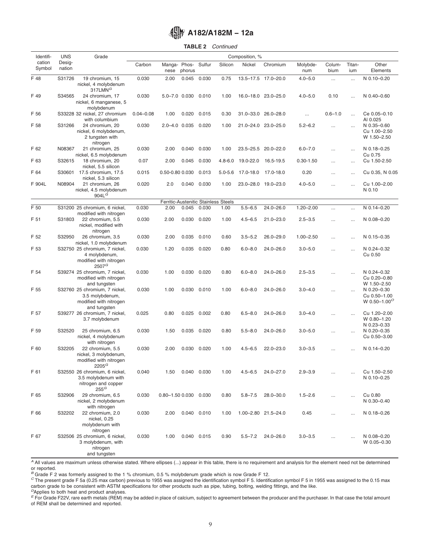# **TABLE 2** *Continued*

| Identifi-        | <b>UNS</b>       | Grade                                                                                            |               |                       |                               |               |                                      | Composition, % |                     |                 |                |               |                                                                      |
|------------------|------------------|--------------------------------------------------------------------------------------------------|---------------|-----------------------|-------------------------------|---------------|--------------------------------------|----------------|---------------------|-----------------|----------------|---------------|----------------------------------------------------------------------|
| cation<br>Symbol | Desig-<br>nation |                                                                                                  | Carbon        | nese                  | Manga- Phos- Sulfur<br>phorus |               | Silicon                              | Nickel         | Chromium            | Molybde-<br>num | Colum-<br>bium | Titan-<br>ium | Other<br>Elements                                                    |
| F 48             | S31726           | 19 chromium, 15<br>nickel, 4 molybdenum<br>317LMN <sup>G</sup>                                   | 0.030         | 2.00                  | 0.045                         | 0.030         | 0.75                                 |                | 13.5-17.5 17.0-20.0 | $4.0 - 5.0$     | $\cdots$       | $\cdots$      | N 0.10-0.20                                                          |
| F 49             | S34565           | 24 chromium, 17<br>nickel, 6 manganese, 5<br>molybdenum                                          | 0.030         |                       | 5.0-7.0 0.030                 | 0.010         | 1.00                                 |                | 16.0-18.0 23.0-25.0 | $4.0 - 5.0$     | 0.10           |               | N 0.40-0.60                                                          |
| F 56             |                  | S33228 32 nickel, 27 chromium<br>with columbium                                                  | $0.04 - 0.08$ | 1.00                  | 0.020                         | 0.015         | 0.30                                 |                | 31.0-33.0 26.0-28.0 |                 | $0.6 - 1.0$    | $\cdots$      | Ce 0.05-0.10<br>AI 0.025                                             |
| F 58             | S31266           | 24 chromium, 20<br>nickel, 6 molybdenum,<br>2 tungsten with<br>nitrogen                          | 0.030         |                       | 2.0-4.0 0.035                 | 0.020         | 1.00                                 |                | 21.0-24.0 23.0-25.0 | $5.2 - 6.2$     | $\cdots$       | $\ddotsc$     | N 0.35-0.60<br>Cu 1.00-2.50<br>W 1.50-2.50                           |
| F 62             | N08367           | 21 chromium, 25<br>nickel, 6.5 molybdenum                                                        | 0.030         | 2.00                  | 0.040                         | 0.030         | 1.00                                 |                | 23.5-25.5 20.0-22.0 | $6.0 - 7.0$     | $\cdots$       | $\cdots$      | N 0.18-0.25<br>Cu 0.75                                               |
| F 63             | S32615           | 18 chromium, 20<br>nickel, 5.5 silicon                                                           | 0.07          | 2.00                  | 0.045                         | 0.030         | $4.8 - 6.0$                          | 19.0-22.0      | 16.5-19.5           | $0.30 - 1.50$   | $\cdots$       | $\cdots$      | Cu 1.50-2.50                                                         |
| F 64             |                  | S30601 17.5 chromium, 17.5<br>nickel, 5.3 silicon                                                | 0.015         | 0.50-0.80 0.030       |                               | 0.013         | $5.0 - 5.6$                          | 17.0-18.0      | 17.0-18.0           | 0.20            | $\cdots$       | $\cdots$      | Cu 0.35, N 0.05                                                      |
| F 904L           | N08904           | 21 chromium, 26<br>nickel, 4.5 molybdenum<br>904L <sup>G</sup>                                   | 0.020         | 2.0                   | 0.040                         | 0.030         | 1.00                                 |                | 23.0-28.0 19.0-23.0 | $4.0 - 5.0$     | $\cdots$       |               | Cu 1.00-2.00<br>N 0.10                                               |
|                  |                  |                                                                                                  |               |                       |                               |               | Ferritic-Austenitic Stainless Steels |                |                     |                 |                |               |                                                                      |
| F 50             |                  | S31200 25 chromium, 6 nickel,                                                                    | 0.030         | 2.00                  | 0.045                         | 0.030         | 1.00                                 | $5.5 - 6.5$    | $24.0 - 26.0$       | $1.20 - 2.00$   | $\cdots$       | $\cdots$      | N 0.14-0.20                                                          |
| F 51             | S31803           | modified with nitrogen<br>22 chromium, 5.5<br>nickel, modified with<br>nitrogen                  | 0.030         | 2.00                  | 0.030                         | 0.020         | 1.00                                 | $4.5 - 6.5$    | $21.0 - 23.0$       | $2.5 - 3.5$     | $\cdots$       |               | N 0.08-0.20                                                          |
| F 52             | S32950           | 26 chromium, 3.5<br>nickel, 1.0 molybdenum                                                       | 0.030         | 2.00                  | 0.035                         | 0.010         | 0.60                                 | $3.5 - 5.2$    | $26.0 - 29.0$       | $1.00 - 2.50$   | $\cdots$       | $\ddotsc$     | N 0.15-0.35                                                          |
| F 53             |                  | S32750 25 chromium, 7 nickel,<br>4 molybdenum,<br>modified with nitrogen<br>$2507^G$             | 0.030         | 1.20                  | 0.035                         | 0.020         | 0.80                                 | $6.0 - 8.0$    | $24.0 - 26.0$       | $3.0 - 5.0$     | $\cdots$       | $\cdots$      | N 0.24-0.32<br>Cu 0.50                                               |
| F 54             |                  | S39274 25 chromium, 7 nickel,<br>modified with nitrogen                                          | 0.030         | 1.00                  |                               | 0.030 0.020   | 0.80                                 | $6.0 - 8.0$    | $24.0 - 26.0$       | $2.5 - 3.5$     | $\cdots$       | $\cdots$      | N 0.24-0.32<br>Cu 0.20-0.80                                          |
| F 55             |                  | and tungsten<br>S32760 25 chromium, 7 nickel,<br>3.5 molybdenum,<br>modified with nitrogen       | 0.030         | 1.00                  | 0.030                         | 0.010         | 1.00                                 | $6.0 - 8.0$    | $24.0 - 26.0$       | $3.0 - 4.0$     | $\cdots$       |               | W 1.50-2.50<br>N 0.20-0.30<br>Cu 0.50-1.00<br>W 0.50-1.00 $^{\circ}$ |
| F 57             |                  | and tungsten<br>S39277 26 chromium, 7 nickel,<br>3.7 molybdenum                                  | 0.025         | 0.80                  |                               | $0.025$ 0.002 | 0.80                                 | $6.5 - 8.0$    | $24.0 - 26.0$       | $3.0 - 4.0$     | $\cdots$       |               | Cu 1.20-2.00<br>W 0.80-1.20                                          |
| F 59             | S32520           | 25 chromium, 6.5<br>nickel, 4 molybdenum                                                         | 0.030         | 1.50                  | 0.035                         | 0.020         | 0.80                                 | $5.5 - 8.0$    | $24.0 - 26.0$       | $3.0 - 5.0$     | $\cdots$       |               | N 0.23-0.33<br>N 0.20-0.35<br>Cu 0.50-3.00                           |
| F 60             | S32205           | with nitrogen<br>22 chromium, 5.5<br>nickel, 3 molybdenum,<br>modified with nitrogen<br>$2205^G$ | 0.030         | 2.00                  | 0.030                         | 0.020         | 1.00                                 | $4.5 - 6.5$    | $22.0 - 23.0$       | $3.0 - 3.5$     |                |               | N 0.14-0.20                                                          |
| F 61             |                  | S32550 26 chromium, 6 nickel,<br>3.5 molybdenum with<br>nitrogen and copper<br>$255^G$           | 0.040         | 1.50                  |                               | 0.040 0.030   | 1.00                                 | $4.5 - 6.5$    | $24.0 - 27.0$       | $2.9 - 3.9$     | $\cdots$       | $\ddotsc$     | Cu 1.50-2.50<br>N 0.10-0.25                                          |
| F 65             | S32906           | 29 chromium, 6.5<br>nickel, 2 molybdenum                                                         | 0.030         | 0.80-1.50 0.030 0.030 |                               |               | 0.80                                 | $5.8 - 7.5$    | $28.0 - 30.0$       | $1.5 - 2.6$     | $\cdots$       | $\cdots$      | Cu 0.80<br>N 0.30-0.40                                               |
| F 66             | S32202           | with nitrogen<br>22 chromium, 2.0<br>nickel, 0.25<br>molybdenum with<br>nitrogen                 | 0.030         | 2.00                  |                               | 0.040 0.010   | 1.00                                 |                | 1.00-2.80 21.5-24.0 | 0.45            | $\cdots$       | $\ddotsc$     | N 0.18-0.26                                                          |
| F 67             |                  | S32506 25 chromium, 6 nickel,<br>3 molybdenum, with<br>nitrogen<br>and tungsten                  | 0.030         | 1.00                  |                               | 0.040 0.015   | 0.90                                 | $5.5 - 7.2$    | $24.0 - 26.0$       | $3.0 - 3.5$     | $\cdots$       |               | N 0.08-0.20<br>W 0.05-0.30                                           |

*<sup>A</sup>* All values are maximum unless otherwise stated. Where ellipses (...) appear in this table, there is no requirement and analysis for the element need not be determined or reported.<br>
For a strength of the strength of the strength of the protection of the Strength of Treported.<br>
B Grade F 2 was formerly assigned to the 1 % chromium, 0.5 % molybdenum grade which is now Grade F 12.

<sup>C</sup>The present grade F 5a (0.25 max carbon) previous to 1955 was assigned the identification symbol F 5. Identification symbol F 5 in 1955 was assigned to the 0.15 max carbon grade to be consistent with ASTM specifications for other products such as pipe, tubing, bolting, welding fittings, and the like.

*<sup>D</sup>*Applies to both heat and product analyses.

*<sup>E</sup>* For Grade F22V, rare earth metals (REM) may be added in place of calcium, subject to agreement between the producer and the purchaser. In that case the total amount of REM shall be determined and reported.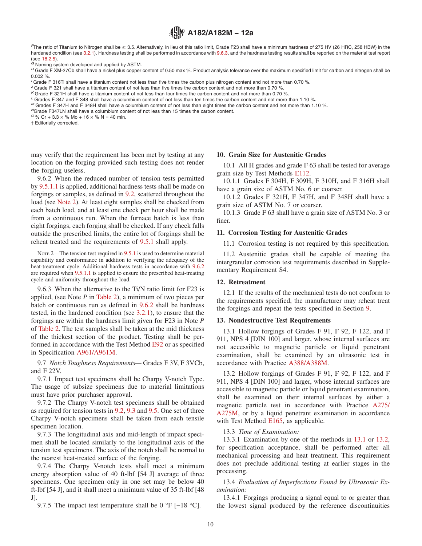<span id="page-9-0"></span> $F$ The ratio of Titanium to Nitrogen shall be ≥ 3.5. Alternatively, in lieu of this ratio limit, Grade F23 shall have a minimum hardness of 275 HV (26 HRC, 258 HBW) in the hardened condition (see [3.2.1\)](#page-1-0). Hardness testing shall be performed in accordance with 9.6.3, and the hardness testing results shall be reported on the material test report (see 18.2.5).<br>
<sup>G</sup> Naming system developed and ap

H Grade F XM-27Cb shall have a nickel plus copper content of 0.50 max %. Product analysis tolerance over the maximum specified limit for carbon and nitrogen shall be 0.002 %.

- *<sup>I</sup>* Grade F 316Ti shall have a titanium content not less than five times the carbon plus nitrogen content and not more than 0.70 %.
- *<sup>J</sup>* Grade F 321 shall have a titanium content of not less than five times the carbon content and not more than 0.70 %.
- *<sup>K</sup>* Grade F 321H shall have a titanium content of not less than four times the carbon content and not more than 0.70 %.
- *<sup>L</sup>* Grades F 347 and F 348 shall have a columbium content of not less than ten times the carbon content and not more than 1.10 %.
- <sup>M</sup> Grades F 347H and F 348H shall have a columbium content of not less than eight times the carbon content and not more than 1.10 %.<br><sup>N</sup>Grade F347LN shall have a columbium content of not less than 15 times the carbon cont
- 

 $O\%$  Cr + 3.3 × % Mo + 16 × % N = 40 min.

† Editorially corrected.

may verify that the requirement has been met by testing at any location on the forging provided such testing does not render the forging useless.

9.6.2 When the reduced number of tension tests permitted by [9.5.1.1](#page-4-0) is applied, additional hardness tests shall be made on forgings or samples, as defined in [9.2,](#page-4-0) scattered throughout the load (see Note 2). At least eight samples shall be checked from each batch load, and at least one check per hour shall be made from a continuous run. When the furnace batch is less than eight forgings, each forging shall be checked. If any check falls outside the prescribed limits, the entire lot of forgings shall be reheat treated and the requirements of [9.5.1](#page-4-0) shall apply.

NOTE 2—The tension test required in [9.5.1](#page-4-0) is used to determine material capability and conformance in addition to verifying the adequacy of the heat-treatment cycle. Additional hardness tests in accordance with 9.6.2 are required when [9.5.1.1](#page-4-0) is applied to ensure the prescribed heat-treating cycle and uniformity throughout the load.

9.6.3 When the alternative to the Ti/N ratio limit for F23 is applied, (see Note *P* in [Table 2\)](#page-5-0), a minimum of two pieces per batch or continuous run as defined in 9.6.2 shall be hardness tested, in the hardened condition (see [3.2.1\)](#page-1-0), to ensure that the forgings are within the hardness limit given for F23 in Note *P* of [Table 2.](#page-5-0) The test samples shall be taken at the mid thickness of the thickest section of the product. Testing shall be performed in accordance with the Test Method [E92](#page-1-0) or as specified in Specification [A961/A961M.](#page-11-0)

9.7 *Notch Toughness Requirements—* Grades F 3V, F 3VCb, and F 22V.

9.7.1 Impact test specimens shall be Charpy V-notch Type. The usage of subsize specimens due to material limitations must have prior purchaser approval.

9.7.2 The Charpy V-notch test specimens shall be obtained as required for tension tests in [9.2,](#page-4-0) [9.3](#page-4-0) and [9.5.](#page-4-0) One set of three Charpy V-notch specimens shall be taken from each tensile specimen location.

9.7.3 The longitudinal axis and mid-length of impact specimen shall be located similarly to the longitudinal axis of the tension test specimens. The axis of the notch shall be normal to the nearest heat-treated surface of the forging.

9.7.4 The Charpy V-notch tests shall meet a minimum energy absorption value of 40 ft-lbf [54 J] average of three specimens. One specimen only in one set may be below 40 ft-lbf [54 J], and it shall meet a minimum value of 35 ft-lbf [48 J].

9.7.5 The impact test temperature shall be 0 °F [−18 °C].

# **10. Grain Size for Austenitic Grades**

10.1 All H grades and grade F 63 shall be tested for average grain size by Test Methods [E112.](#page-15-0)

10.1.1 Grades F 304H, F 309H, F 310H, and F 316H shall have a grain size of ASTM No. 6 or coarser.

10.1.2 Grades F 321H, F 347H, and F 348H shall have a grain size of ASTM No. 7 or coarser.

10.1.3 Grade F 63 shall have a grain size of ASTM No. 3 or finer.

#### **11. Corrosion Testing for Austenitic Grades**

11.1 Corrosion testing is not required by this specification.

11.2 Austenitic grades shall be capable of meeting the intergranular corrosion test requirements described in Supplementary Requirement S4.

# **12. Retreatment**

12.1 If the results of the mechanical tests do not conform to the requirements specified, the manufacturer may reheat treat the forgings and repeat the tests specified in Section [9.](#page-4-0)

### **13. Nondestructive Test Requirements**

13.1 Hollow forgings of Grades F 91, F 92, F 122, and F 911, NPS 4 [DIN 100] and larger, whose internal surfaces are not accessible to magnetic particle or liquid penetrant examination, shall be examined by an ultrasonic test in accordance with Practice [A388/A388M.](#page-15-0)

13.2 Hollow forgings of Grades F 91, F 92, F 122, and F 911, NPS 4 [DIN 100] and larger, whose internal surfaces are accessible to magnetic particle or liquid penetrant examination, shall be examined on their internal surfaces by either a magnetic particle test in accordance with Practice [A275/](#page-11-0) [A275M,](#page-11-0) or by a liquid penetrant examination in accordance with Test Method [E165,](#page-11-0) as applicable.

13.3 *Time of Examination:*

13.3.1 Examination by one of the methods in 13.1 or 13.2, for specification acceptance, shall be performed after all mechanical processing and heat treatment. This requirement does not preclude additional testing at earlier stages in the processing.

13.4 *Evaluation of Imperfections Found by Ultrasonic Examination:*

13.4.1 Forgings producing a signal equal to or greater than the lowest signal produced by the reference discontinuities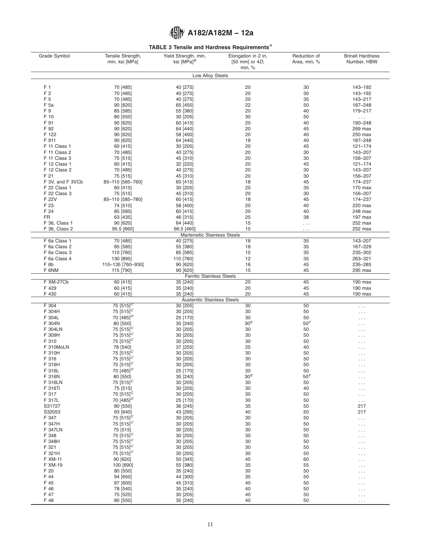# **TABLE 3 Tensile and Hardness Requirements***<sup>A</sup>*

<span id="page-10-0"></span>

| Grade Symbol                 | Tensile Strength,                                    | Yield Strength, min,<br>ksi [MPa] $^B$       | Elongation in 2 in.         | Reduction of    | <b>Brinell Hardness</b>          |
|------------------------------|------------------------------------------------------|----------------------------------------------|-----------------------------|-----------------|----------------------------------|
|                              | min, ksi [MPa]                                       |                                              | [50 mm] or $4D$ ,<br>min, % | Area, min, %    | Number, HBW                      |
|                              |                                                      | Low Alloy Steels                             |                             |                 |                                  |
|                              |                                                      |                                              |                             |                 |                                  |
| F <sub>1</sub>               | 70 [485]                                             | 40 [275]                                     | 20                          | 30              | 143-192                          |
| F 2<br>F <sub>5</sub>        | 70 [485]<br>70 [485]                                 | 40 [275]<br>40 [275]                         | 20<br>20                    | 30<br>35        | 143-192<br>143-217               |
| F 5a                         | 90 [620]                                             | 65 [450]                                     | 22                          | 50              | 187-248                          |
| F9                           | 85 [585]                                             | 55 [380]                                     | 20                          | 40              | 179-217                          |
| F 10                         | 80 [550]                                             | 30 [205]                                     | 30                          | 50              | $\sim$ $\sim$ $\sim$             |
| F 91                         | 90 [620]                                             | 60 [415]                                     | 20                          | 40              | 190-248                          |
| F 92                         | 90 [620]                                             | 64 [440]                                     | 20                          | 45              | 269 max                          |
| F 122                        | 90 [620]                                             | 58 [400]                                     | 20                          | 40              | 250 max                          |
| F 911                        | 90 [620]                                             | 64 [440]                                     | 18                          | 40              | 187-248                          |
| F 11 Class 1                 | 60 [415]                                             | 30 [205]                                     | 20                          | 45              | $121 - 174$                      |
| F 11 Class 2                 | 70 [485]                                             | 40 [275]                                     | 20                          | 30              | 143-207                          |
| F 11 Class 3<br>F 12 Class 1 | 75 [515]                                             | 45 [310]                                     | 20<br>20                    | 30<br>45        | 156-207<br>121-174               |
| F 12 Class 2                 | 60 [415]<br>70 [485]                                 | 32 [220]<br>40 [275]                         | 20                          | 30              | 143-207                          |
| F 21                         | 75 [515]                                             | 45 [310]                                     | 20                          | 30              | 156-207                          |
| F 3V, and F 3VCb             | 85-110 [585-760]                                     | 60 [415]                                     | 18                          | 45              | 174-237                          |
| F 22 Class 1                 | 60 [415]                                             | 30 [205]                                     | 20                          | 35              | 170 max                          |
| F 22 Class 3                 | 75 [515]                                             | 45 [310]                                     | 20                          | 30              | 156-207                          |
| F 22V                        | 85-110 [585-780]                                     | 60 [415]                                     | 18                          | 45              | 174-237                          |
| F 23                         | 74 [510]                                             | 58 [400]                                     | 20                          | 40              | 220 max                          |
| F 24                         | 85 [585]                                             | 60 [415]                                     | 20                          | 40              | 248 max                          |
| <b>FR</b>                    | 63 [435]                                             | 46 [315]                                     | 25                          | 38              | 197 max                          |
| F 36, Class 1                | 90 [620]                                             | 64 [440]                                     | 15                          | .               | 252 max                          |
| F 36, Class 2                | 95.5 [660]                                           | 66.5 [460]<br>Martensitic Stainless Steels   | 15                          | .               | 252 max                          |
| F 6a Class 1                 | 70 [485]                                             | 40 [275]                                     | 18                          | 35              | 143-207                          |
| F 6a Class 2                 | 85 [585]                                             | 55 [380]                                     | 18                          | 35              | 167-229                          |
| F 6a Class 3                 | 110 [760]                                            | 85 [585]                                     | 15                          | 35              | 235-302                          |
| F 6a Class 4                 | 130 [895]                                            | 110 [760]                                    | 12                          | 35              | 263-321                          |
| F 6b                         | 110-135 [760-930]                                    | 90 [620]                                     | 16                          | 45              | 235-285                          |
| F 6NM                        | 115 [790]                                            | 90 [620]<br><b>Ferritic Stainless Steels</b> | 15                          | 45              | 295 max                          |
| F XM-27Cb                    | 60 [415]                                             | 35 [240]                                     | 20                          | 45              | 190 max                          |
| F 429                        | 60 [415]                                             | 35 [240]                                     | 20                          | 45              | 190 max                          |
| F 430                        | 60 [415]                                             | 35 [240]                                     | 20                          | 45              | 190 max                          |
| F 304                        | 75 $[515]^{C}$                                       | Austenitic Stainless Steels<br>30 [205]      | 30                          | 50              |                                  |
| F 304H                       | 75 $[515]^{C}$                                       | 30 [205]                                     | 30                          | 50              | $\sim$ $\sim$ $\sim$<br>.        |
| F 304L                       | 70 [485] <sup><math>D</math></sup>                   | 25 [170]                                     | 30                          | 50              |                                  |
| F 304N                       | 80 [550]                                             | 35 [240]                                     | 30 <sup>E</sup>             | 50 <sup>F</sup> |                                  |
| F 304LN                      | 75 $[515]^C$                                         | 30 [205]                                     | 30                          | 50              | .                                |
| F 309H                       | 75 $[515]^{C}$                                       | 30 [205]                                     | 30                          | 50              |                                  |
| F 310                        | 75 $[515]^{C}$                                       | 30 [205]                                     | 30                          | 50              |                                  |
| F 310MoLN                    | 78 [540]                                             | 37 [255]                                     | 25                          | 40              |                                  |
| F 310H                       | 75 [515] <sup>C</sup>                                | 30 [205]                                     | 30                          | 50              | $\cdots$                         |
| F 316<br>F 316H              | 75 $[515]^{C}$<br>75 $[515]^{C}$                     | 30 [205]<br>30 [205]                         | 30<br>30                    | 50<br>50        |                                  |
| F 316L                       | 70 [485] <sup>D</sup>                                | 25 [170]                                     | 30                          | 50              | $\cdots$                         |
| F 316N                       | 80 [550]                                             | 35 [240]                                     | 30 <sup>E</sup>             | 50 <sup>F</sup> | $\cdots$                         |
| F 316LN                      | 75 $[515]^{C}$                                       | 30 [205]                                     | 30                          | 50              |                                  |
| F 316Ti                      | 75 [515]                                             | 30 [205]                                     | 30                          | 40              |                                  |
| F 317                        | 75 $[515]^{C}$                                       | 30 [205]                                     | 30                          | 50              | .                                |
| F 317L                       | 70 [485] <sup><math>D</math></sup>                   | 25 [170]                                     | 30                          | 50              | $\epsilon \sim 1$                |
| S31727                       | 80 [550]                                             | 36 [245]                                     | 35                          | 50              | 217                              |
| S32053                       | 93 [640]                                             | 43 [295]                                     | 40                          | 50              | 217                              |
| F 347<br>F 347H              | 75 [515] <sup><math>C</math></sup><br>75 $[515]^{C}$ | 30 [205]<br>30 [205]                         | 30                          | 50              | $\sim$ $\sim$ $\sim$             |
| <b>F 347LN</b>               | 75 [515]                                             | 30 [205]                                     | 30<br>30                    | 50<br>50        | $\cdots$                         |
| F 348                        | 75 $[515]^{C}$                                       | 30 [205]                                     | 30                          | 50              |                                  |
| F 348H                       | 75 $[515]^{C}$                                       | 30 [205]                                     | 30                          | 50              |                                  |
| F 321                        | 75 $[515]^{C}$                                       | 30 [205]                                     | 30                          | 50              | .                                |
| F 321H                       | 75 $[515]^{C}$                                       | 30 [205]                                     | 30                          | 50              | .                                |
| F XM-11                      | 90 [620]                                             | 50 [345]                                     | 45                          | 60              |                                  |
| F XM-19                      | 100 [690]                                            | 55 [380]                                     | 35                          | 55              |                                  |
| F 20                         | 80 [550]                                             | 35 [240]                                     | 30                          | 50              |                                  |
| F 44<br>F 45                 | 94 [650]                                             | 44 [300]                                     | 35                          | 50              |                                  |
| F 46                         | 87 [600]<br>78 [540]                                 | 45 [310]<br>35 [240]                         | 40<br>40                    | 50<br>50        | .                                |
| F 47                         | 75 [525]                                             | 30 [205]                                     | 40                          | 50              | $\cdots$<br>$\sim$ $\sim$ $\sim$ |
| F 48                         | 80 [550]                                             | 35 [240]                                     | 40                          | 50              | $\ldots$                         |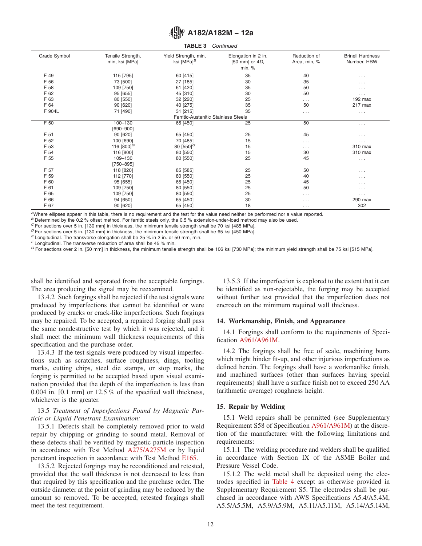#### **TABLE 3** *Continued*

<span id="page-11-0"></span>

| Grade Symbol | Tensile Strength,<br>min, ksi [MPa] | Yield Strength, min,<br>ksi [MPa] <sup>B</sup> | Elongation in 2 in.<br>[50 mm] or 4D,<br>min, % | Reduction of<br>Area, min, % | <b>Brinell Hardness</b><br>Number, HBW |
|--------------|-------------------------------------|------------------------------------------------|-------------------------------------------------|------------------------------|----------------------------------------|
| F 49         | 115 [795]                           | 60 [415]                                       | 35                                              | 40                           | $\cdots$                               |
| F 56         | 73 [500]                            | 27 [185]                                       | 30                                              | 35                           | .                                      |
| F 58         | 109 [750]                           | 61 [420]                                       | 35                                              | 50                           | .                                      |
| F 62         | 95 [655]                            | 45 [310]                                       | 30                                              | 50                           | $\cdots$                               |
| F 63         | 80 [550]                            | 32 [220]                                       | 25                                              | .                            | $192$ max                              |
| F 64         | 90 [620]                            | 40 [275]                                       | 35                                              | 50                           | 217 max                                |
| F 904L       | 71 [490]                            | 31 [215]                                       | 35                                              | .                            | $\cdots$                               |
|              |                                     | Ferritic-Austenitic Stainless Steels           |                                                 |                              |                                        |
| F 50         | $100 - 130$                         | 65 [450]                                       | 25                                              | 50                           | $\cdots$                               |
|              | $[690 - 900]$                       |                                                |                                                 |                              |                                        |
| F 51         | 90 [620]                            | 65 [450]                                       | 25                                              | 45                           | $\cdots$                               |
| F 52         | 100 [690]                           | 70 [485]                                       | 15                                              | .                            | $\cdots$                               |
| F 53         | 116 $[800]^{G}$                     | 80 $[550]$ <sup>G</sup>                        | 15                                              | .                            | 310 max                                |
| F 54         | 116 [800]                           | 80 [550]                                       | 15                                              | 30                           | 310 max                                |
| F 55         | 109-130                             | 80 [550]                                       | 25                                              | 45                           | $\cdots$                               |
|              | $[750 - 895]$                       |                                                |                                                 |                              |                                        |
| F 57         | 118 [820]                           | 85 [585]                                       | 25                                              | 50                           | $\cdots$                               |
| F 59         | 112 [770]                           | 80 [550]                                       | 25                                              | 40                           | $\cdots$                               |
| F 60         | 95 [655]                            | 65 [450]                                       | 25                                              | 45                           | $\cdots$                               |
| F 61         | 109 [750]                           | 80 [550]                                       | 25                                              | 50                           | $\cdots$                               |
| F 65         | 109 [750]                           | 80 [550]                                       | 25                                              | .                            | $\sim$ $\sim$ $\sim$                   |
| F 66         | 94 [650]                            | 65 [450]                                       | 30                                              | .                            | 290 max                                |
| F 67         | 90 [620]                            | 65 [450]                                       | 18                                              | .                            | 302                                    |

*<sup>A</sup>*Where ellipses appear in this table, there is no requirement and the test for the value need neither be performed nor a value reported.

*B* Determined by the 0.2 % offset method. For ferritic steels only, the 0.5 % extension-under-load method may also be used. <br><sup>*C*</sup> For sections over 5 in. [130 mm] in thickness, the minimum tensile strength shall be 70 ks

<sup>D</sup> For sections over 5 in. [130 mm] in thickness, the minimum tensile strength shall be 65 ksi [450 MPa]. <sup>E</sup> Longitudinal. The transverse elongation shall be 25 % in 2 in. or 50 mm, min.

*<sup>F</sup>* Longitudinal. The transverse reduction of area shall be 45 % min.

*<sup>G</sup>* For sections over 2 in. [50 mm] in thickness, the minimum tensile strength shall be 106 ksi [730 MPa]; the minimum yield strength shall be 75 ksi [515 MPa].

shall be identified and separated from the acceptable forgings. The area producing the signal may be reexamined.

13.4.2 Such forgings shall be rejected if the test signals were produced by imperfections that cannot be identified or were produced by cracks or crack-like imperfections. Such forgings may be repaired. To be accepted, a repaired forging shall pass the same nondestructive test by which it was rejected, and it shall meet the minimum wall thickness requirements of this specification and the purchase order.

13.4.3 If the test signals were produced by visual imperfections such as scratches, surface roughness, dings, tooling marks, cutting chips, steel die stamps, or stop marks, the forging is permitted to be accepted based upon visual examination provided that the depth of the imperfection is less than 0.004 in. [0.1 mm] or 12.5 % of the specified wall thickness, whichever is the greater.

# 13.5 *Treatment of Imperfections Found by Magnetic Particle or Liquid Penetrant Examination:*

13.5.1 Defects shall be completely removed prior to weld repair by chipping or grinding to sound metal. Removal of these defects shall be verified by magnetic particle inspection in accordance with Test Method [A275/A275M](#page-13-0) or by liquid penetrant inspection in accordance with Test Method [E165.](#page-13-0)

13.5.2 Rejected forgings may be reconditioned and retested, provided that the wall thickness is not decreased to less than that required by this specification and the purchase order. The outside diameter at the point of grinding may be reduced by the amount so removed. To be accepted, retested forgings shall meet the test requirement.

13.5.3 If the imperfection is explored to the extent that it can be identified as non-rejectable, the forging may be accepted without further test provided that the imperfection does not encroach on the minimum required wall thickness.

### **14. Workmanship, Finish, and Appearance**

14.1 Forgings shall conform to the requirements of Specification A961/A961M.

14.2 The forgings shall be free of scale, machining burrs which might hinder fit-up, and other injurious imperfections as defined herein. The forgings shall have a workmanlike finish, and machined surfaces (other than surfaces having special requirements) shall have a surface finish not to exceed 250 AA (arithmetic average) roughness height.

### **15. Repair by Welding**

15.1 Weld repairs shall be permitted (see Supplementary Requirement S58 of Specification [A961/A961M\)](#page-13-0) at the discretion of the manufacturer with the following limitations and requirements:

15.1.1 The welding procedure and welders shall be qualified in accordance with Section IX of the ASME Boiler and Pressure Vessel Code.

15.1.2 The weld metal shall be deposited using the electrodes specified in [Table 4](#page-12-0) except as otherwise provided in Supplementary Requirement S5. The electrodes shall be purchased in accordance with AWS Specifications A5.4/A5.4M, A5.5/A5.5M, A5.9/A5.9M, A5.11/A5.11M, A5.14/A5.14M,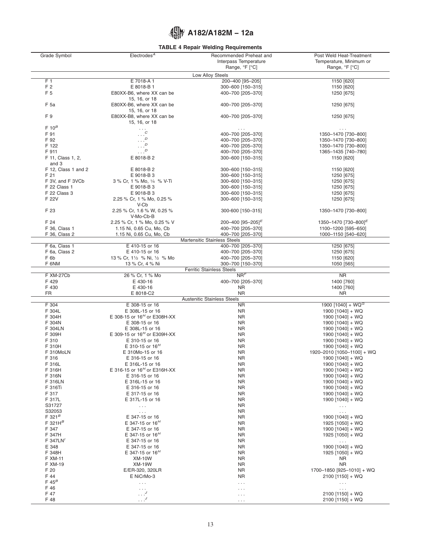# **TABLE 4 Repair Welding Requirements**

<span id="page-12-0"></span>

| Grade Symbol        | Electrodes <sup>A</sup>                 | Recommended Preheat and                 | Post Weld Heat-Treatment         |
|---------------------|-----------------------------------------|-----------------------------------------|----------------------------------|
|                     |                                         | Interpass Temperature                   | Temperature, Minimum or          |
|                     |                                         | Range, °F [°C]                          | Range, °F [°C]                   |
|                     |                                         | Low Alloy Steels                        |                                  |
| F 1                 | E 7018-A1                               | 200-400 [95-205]                        | 1150 [620]                       |
| F 2                 | E 8018-B 1                              | 300-600 [150-315]                       | 1150 [620]                       |
| F <sub>5</sub>      | E80XX-B6, where XX can be               | 400-700 [205-370]                       | 1250 [675]                       |
|                     | 15, 16, or 18                           |                                         |                                  |
| F 5a                | E80XX-B6, where XX can be               | 400-700 [205-370]                       | 1250 [675]                       |
|                     | 15, 16, or 18                           |                                         |                                  |
| F <sub>9</sub>      | E80XX-B8, where XX can be               | 400-700 [205-370]                       | 1250 [675]                       |
|                     | 15, 16, or 18                           |                                         |                                  |
| $F 10^B$            |                                         | $\cdots$                                | $\cdots$                         |
| F 91                | $\ldots^c$                              | 400-700 [205-370]                       | 1350-1470 [730-800]              |
| F 92                | D                                       | 400-700 [205-370]                       | 1350-1470 [730-800]              |
| F 122               | $\boldsymbol{D}$                        | 400-700 [205-370]                       | 1350-1470 [730-800]              |
| F 911               | $\boldsymbol{D}$                        | 400-700 [205-370]                       | 1365-1435 [740-780]              |
| F 11, Class 1, 2,   | E 8018-B 2                              | 300-600 [150-315]                       | 1150 [620]                       |
| and 3               |                                         |                                         |                                  |
|                     |                                         |                                         |                                  |
| F 12, Class 1 and 2 | E 8018-B 2                              | 300-600 [150-315]                       | 1150 [620]                       |
| F 21                | E 9018-B 3                              | 300-600 [150-315]                       | 1250 [675]                       |
| F 3V, and F 3VCb    | 3 % Cr, 1 % Mo, 1/4 % V-Ti              | 300-600 [150-315]                       | 1250 [675]                       |
| F 22 Class 1        | E 9018-B 3                              | 300-600 [150-315]                       | 1250 [675]                       |
| F 22 Class 3        | E 9018-B 3                              | 300-600 [150-315]                       | 1250 [675]                       |
| F 22V               | 2.25 % Cr, 1 % Mo, 0.25 %               | 300-600 [150-315]                       | 1250 [675]                       |
|                     | V-Cb                                    |                                         |                                  |
| F 23                | 2.25 % Cr, 1.6 % W, 0.25 %              | 300-600 [150-315]                       | 1350-1470 [730-800]              |
|                     | V-Mo-Cb-B                               |                                         |                                  |
| F 24                | 2.25 % Cr, 1 % Mo, 0.25 % V             | 200-400 [95-205] <sup>E</sup>           | 1350-1470 [730-800] <sup>E</sup> |
| F 36, Class 1       | 1.15 Ni, 0.65 Cu, Mo, Cb                | 400-700 [205-370]                       | 1100-1200 [595-650]              |
| F 36, Class 2       | 1.15 Ni, 0.65 Cu, Mo, Cb                | 400-700 [205-370]                       | 1000-1150 [540-620]              |
|                     |                                         | <b>Martensitic Stainless Steels</b>     |                                  |
| F 6a, Class 1       | E 410-15 or 16                          | 400-700 [205-370]                       | 1250 [675]                       |
| F 6a, Class 2       | E 410-15 or 16                          | 400-700 [205-370]                       | 1250 [675]                       |
| F <sub>6b</sub>     | 13 % Cr, 1 1/2 % Ni, 1/2 % Mo           | 400-700 [205-370]                       | 1150 [620]                       |
| F 6NM               | 13 % Cr, 4 % Ni                         | 300-700 [150-370]                       | 1050 [565]                       |
|                     |                                         |                                         |                                  |
| F XM-27Cb           | 26 % Cr, 1 % Mo                         | <b>Ferritic Stainless Steels</b><br>NRF | <b>NR</b>                        |
| F 429               | E 430-16                                | 400-700 [205-370]                       | 1400 [760]                       |
| F 430               | E 430-16                                | <b>NR</b>                               | 1400 [760]                       |
| <b>FR</b>           | E 8018-C2                               | <b>NR</b>                               | <b>NR</b>                        |
|                     |                                         | <b>Austenitic Stainless Steels</b>      |                                  |
| F 304               | E 308-15 or 16                          | <b>NR</b>                               | 1900 [1040] + WQ <sup>G</sup>    |
| F 304L              | E 308L-15 or 16                         | <b>NR</b>                               | 1900 [1040] + WQ                 |
| F 304H              | E 308-15 or 16 <sup>H</sup> or E308H-XX | <b>NR</b>                               | 1900 [1040] + WQ                 |
|                     |                                         |                                         |                                  |
| F 304N              | E 308-15 or 16                          | <b>NR</b>                               | 1900 [1040] + WQ                 |
| F 304LN             | E 308L-15 or 16                         | <b>NR</b>                               | 1900 [1040] + WQ                 |
| F 309H              | E 309-15 or $16^H$ or E309H-XX          | <b>NR</b>                               | 1900 [1040] + WQ                 |
| F 310               | E 310-15 or 16                          | <b>NR</b>                               | 1900 [1040] + WQ                 |
| F 310H              | E 310-15 or $16^H$                      | <b>NR</b>                               | 1900 [1040] + WQ                 |
| F 310MoLN           | E 310Mo-15 or 16                        | <b>NR</b>                               | 1920-2010 [1050-1100] + WQ       |
| F 316               | E 316-15 or 16                          | <b>NR</b>                               | 1900 [1040] + WQ                 |
| F 316L              | E 316L-15 or 16                         | <b>NR</b>                               | 1900 [1040] + WQ                 |
| F 316H              | E 316-15 or $16^H$ or E316H-XX          | <b>NR</b>                               | 1900 [1040] + WQ                 |
| F 316N              | E 316-15 or 16                          | <b>NR</b>                               | 1900 [1040] + WQ                 |
| F 316LN             | E 316L-15 or 16                         | <b>NR</b>                               | 1900 [1040] + WQ                 |
| F 316Ti             | E 316-15 or 16                          | <b>NR</b>                               | 1900 [1040] + WQ                 |
| F 317               | E 317-15 or 16                          | <b>NR</b>                               | $1900$ [1040] + WQ               |
| F 317L              | E 317L-15 or 16                         | <b>NR</b>                               | 1900 [1040] + WQ                 |
|                     |                                         |                                         |                                  |
| S31727              | $\sim 100$                              | <b>NR</b>                               | $\sim$ $\sim$ $\sim$             |
| S32053              | $\sim$ $\sim$ $\sim$                    | <b>NR</b>                               | $\sim$ $\sim$ $\sim$             |
| $F$ 321 $^B$        | E 347-15 or 16                          | <b>NR</b>                               | 1900 [1040] + WQ                 |
| F 321H $^B$         | E 347-15 or $16^H$                      | <b>NR</b>                               | 1925 [1050] + WQ                 |
| F 347               | E 347-15 or 16                          | <b>NR</b>                               | 1900 [1040] + WQ                 |
| F 347H              | E 347-15 or $16H$                       | <b>NR</b>                               | 1925 [1050] + WQ                 |
| F 347LN             | E 347-15 or 16                          | <b>NR</b>                               | $\mathbb{Z}^2$ .                 |
| E 348               | E 347-15 or 16                          | <b>NR</b>                               | 1900 [1040] + WQ                 |
| F 348H              | E 347-15 or $16H$                       | <b>NR</b>                               | 1925 [1050] + WQ                 |
| F XM-11             | <b>XM-10W</b>                           | <b>NR</b>                               | <b>NR</b>                        |
| F XM-19             | <b>XM-19W</b>                           | <b>NR</b>                               | <b>NR</b>                        |
| F 20                | E/ER-320, 320LR                         | <b>NR</b>                               | 1700-1850 [925-1010] + WQ        |
| F 44                | E NiCrMo-3                              | <b>NR</b>                               | $2100$ [1150] + WQ               |
| $F 45^B$            | $\ldots$                                | $\sim$ $\sim$ $\sim$                    | $\sim$ $\sim$ $\sim$             |
| F 46                | $\sim$ $\sim$ $\sim$                    | $\cdots$                                | $\sim 100$                       |
| F 47                | $\ldots$ <sup>J</sup>                   | $\cdots$                                | 2100 [1150] + WQ                 |
| F 48                | $\cdot \cdot \cdot$ <sup>J</sup>        | $\cdots$                                | 2100 [1150] + WQ                 |
|                     |                                         |                                         |                                  |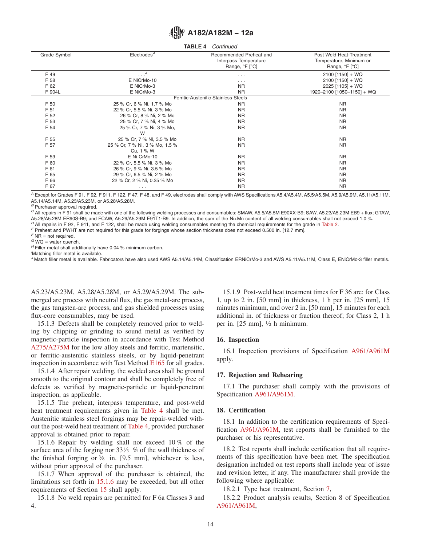<span id="page-13-0"></span>

| TABLE 4<br>Continued                 |                                             |                                                                    |                                                                       |  |  |  |  |  |  |
|--------------------------------------|---------------------------------------------|--------------------------------------------------------------------|-----------------------------------------------------------------------|--|--|--|--|--|--|
| Grade Symbol                         | Electrodes <sup>A</sup>                     | Recommended Preheat and<br>Interpass Temperature<br>Range, °F [°C] | Post Weld Heat-Treatment<br>Temperature, Minimum or<br>Range, °F [°C] |  |  |  |  |  |  |
| F 49                                 | $\cdot \cdot$ <sup><math>J</math></sup>     | $\cdots$                                                           | $2100$ [1150] + WQ                                                    |  |  |  |  |  |  |
| F 58                                 | E NiCrMo-10                                 | $\cdots$                                                           | $2100$ [1150] + WQ                                                    |  |  |  |  |  |  |
| F 62                                 | E NiCrMo-3                                  | <b>NR</b>                                                          | 2025 [1105] + WQ                                                      |  |  |  |  |  |  |
| F 904L                               | E NiCrMo-3                                  | <b>NR</b>                                                          | 1920-2100 [1050-1150] + WQ                                            |  |  |  |  |  |  |
| Ferritic-Austenitic Stainless Steels |                                             |                                                                    |                                                                       |  |  |  |  |  |  |
| F 50                                 | 25 % Cr, 6 % Ni, 1.7 % Mo                   | <b>NR</b>                                                          | <b>NR</b>                                                             |  |  |  |  |  |  |
| F 51                                 | 22 % Cr, 5.5 % Ni, 3 % Mo                   | <b>NR</b>                                                          | <b>NR</b>                                                             |  |  |  |  |  |  |
| F 52                                 | 26 % Cr, 8 % Ni, 2 % Mo                     | <b>NR</b>                                                          | <b>NR</b>                                                             |  |  |  |  |  |  |
| F 53                                 | 25 % Cr, 7 % Ni, 4 % Mo                     | <b>NR</b>                                                          | <b>NR</b>                                                             |  |  |  |  |  |  |
| F 54                                 | 25 % Cr, 7 % Ni, 3 % Mo,<br>W               | <b>NR</b>                                                          | <b>NR</b>                                                             |  |  |  |  |  |  |
| F 55                                 | 25 % Cr, 7 % Ni, 3.5 % Mo                   | <b>NR</b>                                                          | <b>NR</b>                                                             |  |  |  |  |  |  |
| F 57                                 | 25 % Cr, 7 % Ni, 3 % Mo, 1.5 %<br>Cu, 1 % W | <b>NR</b>                                                          | <b>NR</b>                                                             |  |  |  |  |  |  |
| F 59                                 | E Ni CrMo-10                                | <b>NR</b>                                                          | <b>NR</b>                                                             |  |  |  |  |  |  |
| F 60                                 | 22 % Cr, 5.5 % Ni, 3 % Mo                   | <b>NR</b>                                                          | <b>NR</b>                                                             |  |  |  |  |  |  |
| F 61                                 | 26 % Cr, 9 % Ni, 3.5 % Mo                   | <b>NR</b>                                                          | <b>NR</b>                                                             |  |  |  |  |  |  |
| F 65                                 | 29 % Cr, 6.5 % Ni, 2 % Mo                   | <b>NR</b>                                                          | <b>NR</b>                                                             |  |  |  |  |  |  |
| F 66                                 | 22 % Cr, 2 % Ni, 0.25 % Mo                  | <b>NR</b>                                                          | <b>NR</b>                                                             |  |  |  |  |  |  |
| F 67                                 | $\cdots$                                    | <b>NR</b>                                                          | <b>NR</b>                                                             |  |  |  |  |  |  |

*<sup>A</sup>* Except for Grades F 91, F 92, F 911, F 122, F 47, F 48, and F 49, electrodes shall comply with AWS Specifications A5.4/A5.4M, A5.5/A5.5M, A5.9/A5.9M, A5.11/A5.11M, A5.14/A5.14M, A5.23/A5.23M, or A5.28/A5.28M.

*<sup>B</sup>* Purchaser approval required.

*<sup>C</sup>* All repairs in F 91 shall be made with one of the following welding processes and consumables: SMAW, A5.5/A5.5M E90XX-B9; SAW, A5.23/A5.23M EB9 + flux; GTAW, A5.28/A5.28M ER90S-B9; and FCAW, A5.29/A5.29M E91T1-B9. In addition, the sum of the Ni+Mn content of all welding consumables shall not exceed 1.0 %.

 $P$  All repairs in F 92, F 911, and F 122, shall be made using welding consumables meeting the chemical requirements for the grade in [Table 2.](#page-5-0)<br><sup>E</sup> Preheat and PWHT are not required for this grade for forgings whose sectio

 $F$  NR = not required.<br>  $G$  WQ = water quench.

*H* Filler metal shall additionally have 0.04 % minimum carbon.

Matching filler metal is available.

*<sup>J</sup>* Match filler metal is available. Fabricators have also used AWS A5.14/A5.14M, Classification ERNiCrMo-3 and AWS A5.11/A5.11M, Class E, ENiCrMo-3 filler metals.

A5.23/A5.23M, A5.28/A5.28M, or A5.29/A5.29M. The submerged arc process with neutral flux, the gas metal-arc process, the gas tungsten-arc process, and gas shielded processes using flux-core consumables, may be used.

15.1.3 Defects shall be completely removed prior to welding by chipping or grinding to sound metal as verified by magnetic-particle inspection in accordance with Test Method [A275/A275M](#page-0-0) for the low alloy steels and ferritic, martensitic, or ferritic-austenitic stainless steels, or by liquid-penetrant inspection in accordance with Test Method [E165](#page-1-0) for all grades.

15.1.4 After repair welding, the welded area shall be ground smooth to the original contour and shall be completely free of defects as verified by magnetic-particle or liquid-penetrant inspection, as applicable.

15.1.5 The preheat, interpass temperature, and post-weld heat treatment requirements given in [Table 4](#page-12-0) shall be met. Austenitic stainless steel forgings may be repair-welded without the post-weld heat treatment of [Table 4,](#page-12-0) provided purchaser approval is obtained prior to repair.

15.1.6 Repair by welding shall not exceed 10 % of the surface area of the forging nor 33<sup>1</sup>/<sub>3</sub> % of the wall thickness of the finished forging or  $\frac{3}{8}$  in. [9.5 mm], whichever is less, without prior approval of the purchaser.

15.1.7 When approval of the purchaser is obtained, the limitations set forth in 15.1.6 may be exceeded, but all other requirements of Section [15](#page-11-0) shall apply.

15.1.8 No weld repairs are permitted for F 6a Classes 3 and 4.

15.1.9 Post-weld heat treatment times for F 36 are: for Class 1, up to 2 in. [50 mm] in thickness, 1 h per in. [25 mm], 15 minutes minimum, and over 2 in. [50 mm], 15 minutes for each additional in. of thickness or fraction thereof; for Class 2, 1 h per in.  $[25 \text{ mm}]$ ,  $\frac{1}{2}$  h minimum.

# **16. Inspection**

16.1 Inspection provisions of Specification A961/A961M apply.

# **17. Rejection and Rehearing**

17.1 The purchaser shall comply with the provisions of Specification A961/A961M.

# **18. Certification**

18.1 In addition to the certification requirements of Specification A961/A961M, test reports shall be furnished to the purchaser or his representative.

18.2 Test reports shall include certification that all requirements of this specification have been met. The specification designation included on test reports shall include year of issue and revision letter, if any. The manufacturer shall provide the following where applicable:

18.2.1 Type heat treatment, Section [7,](#page-1-0)

18.2.2 Product analysis results, Section 8 of Specification [A961/A961M,](#page-14-0)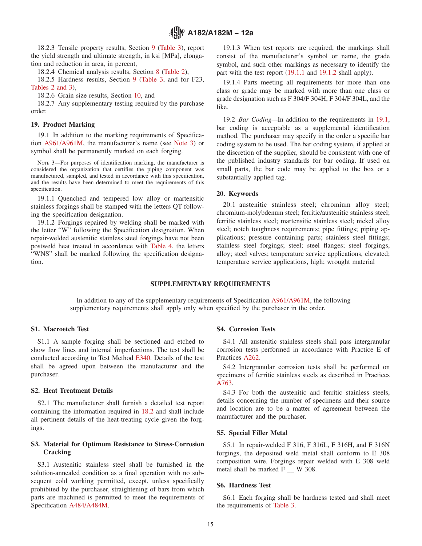<span id="page-14-0"></span>18.2.3 Tensile property results, Section [9](#page-4-0) [\(Table 3\)](#page-10-0), report the yield strength and ultimate strength, in ksi [MPa], elongation and reduction in area, in percent,

18.2.4 Chemical analysis results, Section [8](#page-4-0) [\(Table 2\)](#page-5-0),

18.2.5 Hardness results, Section [9](#page-4-0) [\(Table 3,](#page-10-0) and for F23, [Tables 2 and 3\)](#page-5-0),

18.2.6 Grain size results, Section [10,](#page-9-0) and

18.2.7 Any supplementary testing required by the purchase order.

# **19. Product Marking**

19.1 In addition to the marking requirements of Specification A961/A961M, the manufacturer's name (see Note 3) or symbol shall be permanently marked on each forging.

NOTE 3—For purposes of identification marking, the manufacturer is considered the organization that certifies the piping component was manufactured, sampled, and tested in accordance with this specification, and the results have been determined to meet the requirements of this specification.

19.1.1 Quenched and tempered low alloy or martensitic stainless forgings shall be stamped with the letters QT following the specification designation.

19.1.2 Forgings repaired by welding shall be marked with the letter "W" following the Specification designation. When repair-welded austenitic stainless steel forgings have not been postweld heat treated in accordance with [Table 4,](#page-12-0) the letters "WNS" shall be marked following the specification designation.

19.1.3 When test reports are required, the markings shall consist of the manufacturer's symbol or name, the grade symbol, and such other markings as necessary to identify the part with the test report (19.1.1 and 19.1.2 shall apply).

19.1.4 Parts meeting all requirements for more than one class or grade may be marked with more than one class or grade designation such as F 304/F 304H, F 304/F 304L, and the like.

19.2 *Bar Coding—*In addition to the requirements in 19.1, bar coding is acceptable as a supplemental identification method. The purchaser may specify in the order a specific bar coding system to be used. The bar coding system, if applied at the discretion of the supplier, should be consistent with one of the published industry standards for bar coding. If used on small parts, the bar code may be applied to the box or a substantially applied tag.

#### **20. Keywords**

20.1 austenitic stainless steel; chromium alloy steel; chromium-molybdenum steel; ferritic/austenitic stainless steel; ferritic stainless steel; martensitic stainless steel; nickel alloy steel; notch toughness requirements; pipe fittings; piping applications; pressure containing parts; stainless steel fittings; stainless steel forgings; steel; steel flanges; steel forgings, alloy; steel valves; temperature service applications, elevated; temperature service applications, high; wrought material

## **SUPPLEMENTARY REQUIREMENTS**

In addition to any of the supplementary requirements of Specification [A961/A961M,](#page-1-0) the following supplementary requirements shall apply only when specified by the purchaser in the order.

## **S1. Macroetch Test**

S1.1 A sample forging shall be sectioned and etched to show flow lines and internal imperfections. The test shall be conducted according to Test Method [E340.](#page-1-0) Details of the test shall be agreed upon between the manufacturer and the purchaser.

### **S2. Heat Treatment Details**

S2.1 The manufacturer shall furnish a detailed test report containing the information required in [18.2](#page-13-0) and shall include all pertinent details of the heat-treating cycle given the forgings.

# **S3. Material for Optimum Resistance to Stress-Corrosion Cracking**

S3.1 Austenitic stainless steel shall be furnished in the solution-annealed condition as a final operation with no subsequent cold working permitted, except, unless specifically prohibited by the purchaser, straightening of bars from which parts are machined is permitted to meet the requirements of Specification [A484/A484M.](#page-0-0)

# **S4. Corrosion Tests**

S4.1 All austenitic stainless steels shall pass intergranular corrosion tests performed in accordance with Practice E of Practices [A262.](#page-0-0)

S4.2 Intergranular corrosion tests shall be performed on specimens of ferritic stainless steels as described in Practices [A763.](#page-1-0)

S4.3 For both the austenitic and ferritic stainless steels, details concerning the number of specimens and their source and location are to be a matter of agreement between the manufacturer and the purchaser.

# **S5. Special Filler Metal**

S5.1 In repair-welded F 316, F 316L, F 316H, and F 316N forgings, the deposited weld metal shall conform to E 308 composition wire. Forgings repair welded with E 308 weld metal shall be marked F \_\_ W 308.

# **S6. Hardness Test**

S6.1 Each forging shall be hardness tested and shall meet the requirements of [Table 3.](#page-10-0)